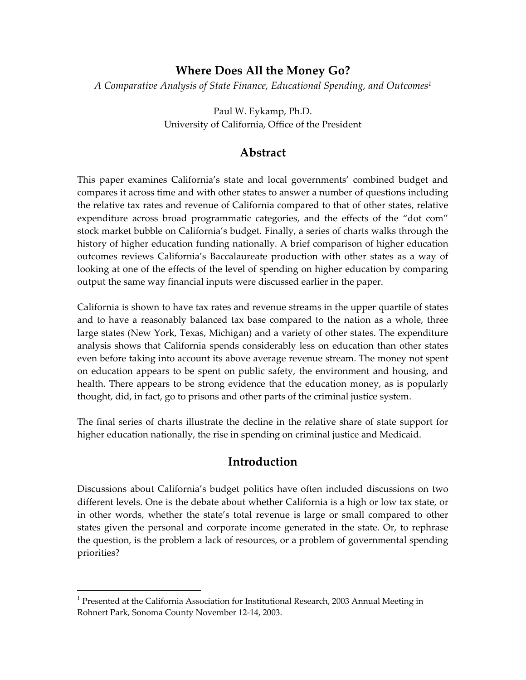### **Where Does All the Money Go?**

*A Comparative Analysis of State Finance, Educational Spending, and Outcomes1*

Paul W. Eykamp, Ph.D. University of California, Office of the President

## **Abstract**

This paper examines California's state and local governments' combined budget and compares it across time and with other states to answer a number of questions including the relative tax rates and revenue of California compared to that of other states, relative expenditure across broad programmatic categories, and the effects of the "dot com" stock market bubble on California's budget. Finally, a series of charts walks through the history of higher education funding nationally. A brief comparison of higher education outcomes reviews California's Baccalaureate production with other states as a way of looking at one of the effects of the level of spending on higher education by comparing output the same way financial inputs were discussed earlier in the paper.

California is shown to have tax rates and revenue streams in the upper quartile of states and to have a reasonably balanced tax base compared to the nation as a whole, three large states (New York, Texas, Michigan) and a variety of other states. The expenditure analysis shows that California spends considerably less on education than other states even before taking into account its above average revenue stream. The money not spent on education appears to be spent on public safety, the environment and housing, and health. There appears to be strong evidence that the education money, as is popularly thought, did, in fact, go to prisons and other parts of the criminal justice system.

The final series of charts illustrate the decline in the relative share of state support for higher education nationally, the rise in spending on criminal justice and Medicaid.

## **Introduction**

Discussions about California's budget politics have often included discussions on two different levels. One is the debate about whether California is a high or low tax state, or in other words, whether the state's total revenue is large or small compared to other states given the personal and corporate income generated in the state. Or, to rephrase the question, is the problem a lack of resources, or a problem of governmental spending priorities?

 $\overline{a}$ 

<sup>&</sup>lt;sup>1</sup> Presented at the California Association for Institutional Research, 2003 Annual Meeting in Rohnert Park, Sonoma County November 12-14, 2003.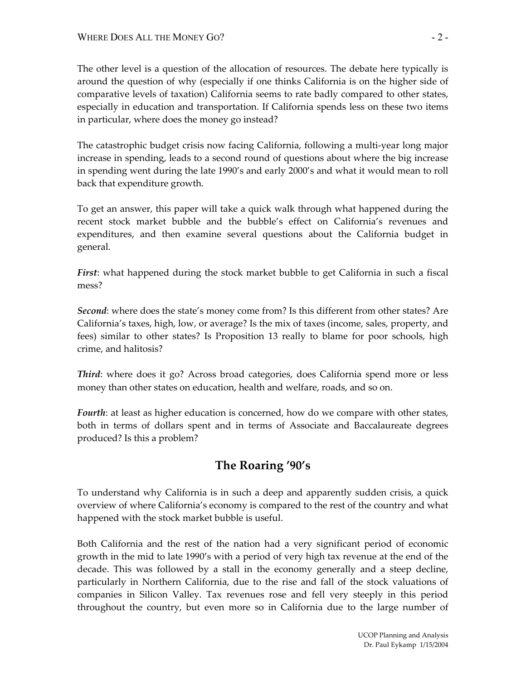The other level is a question of the allocation of resources. The debate here typically is around the question of why (especially if one thinks California is on the higher side of comparative levels of taxation) California seems to rate badly compared to other states, especially in education and transportation. If California spends less on these two items in particular, where does the money go instead?

The catastrophic budget crisis now facing California, following a multi-year long major increase in spending, leads to a second round of questions about where the big increase in spending went during the late 1990's and early 2000's and what it would mean to roll back that expenditure growth.

To get an answer, this paper will take a quick walk through what happened during the recent stock market bubble and the bubble's effect on California's revenues and expenditures, and then examine several questions about the California budget in general.

*First*: what happened during the stock market bubble to get California in such a fiscal mess?

*Second*: where does the state's money come from? Is this different from other states? Are California's taxes, high, low, or average? Is the mix of taxes (income, sales, property, and fees) similar to other states? Is Proposition 13 really to blame for poor schools, high crime, and halitosis?

*Third*: where does it go? Across broad categories, does California spend more or less money than other states on education, health and welfare, roads, and so on.

*Fourth*: at least as higher education is concerned, how do we compare with other states, both in terms of dollars spent and in terms of Associate and Baccalaureate degrees produced? Is this a problem?

## **The Roaring '90's**

To understand why California is in such a deep and apparently sudden crisis, a quick overview of where California's economy is compared to the rest of the country and what happened with the stock market bubble is useful.

Both California and the rest of the nation had a very significant period of economic growth in the mid to late 1990's with a period of very high tax revenue at the end of the decade. This was followed by a stall in the economy generally and a steep decline, particularly in Northern California, due to the rise and fall of the stock valuations of companies in Silicon Valley. Tax revenues rose and fell very steeply in this period throughout the country, but even more so in California due to the large number of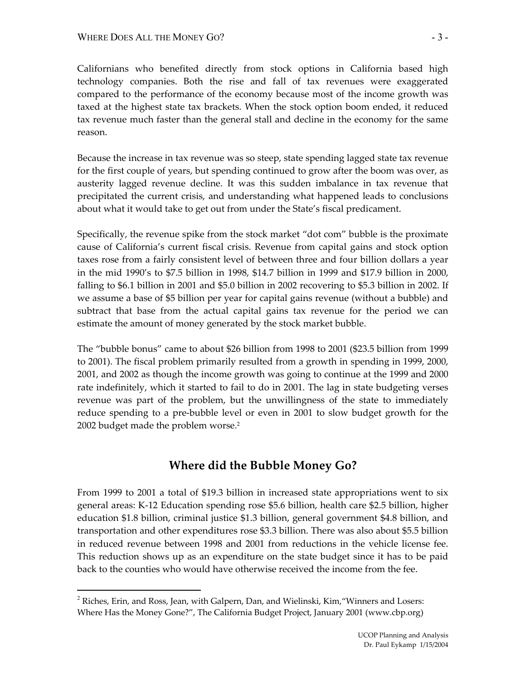Californians who benefited directly from stock options in California based high technology companies. Both the rise and fall of tax revenues were exaggerated compared to the performance of the economy because most of the income growth was taxed at the highest state tax brackets. When the stock option boom ended, it reduced tax revenue much faster than the general stall and decline in the economy for the same reason.

Because the increase in tax revenue was so steep, state spending lagged state tax revenue for the first couple of years, but spending continued to grow after the boom was over, as austerity lagged revenue decline. It was this sudden imbalance in tax revenue that precipitated the current crisis, and understanding what happened leads to conclusions about what it would take to get out from under the State's fiscal predicament.

Specifically, the revenue spike from the stock market "dot com" bubble is the proximate cause of California's current fiscal crisis. Revenue from capital gains and stock option taxes rose from a fairly consistent level of between three and four billion dollars a year in the mid 1990's to \$7.5 billion in 1998, \$14.7 billion in 1999 and \$17.9 billion in 2000, falling to \$6.1 billion in 2001 and \$5.0 billion in 2002 recovering to \$5.3 billion in 2002. If we assume a base of \$5 billion per year for capital gains revenue (without a bubble) and subtract that base from the actual capital gains tax revenue for the period we can estimate the amount of money generated by the stock market bubble.

The "bubble bonus" came to about \$26 billion from 1998 to 2001 (\$23.5 billion from 1999 to 2001). The fiscal problem primarily resulted from a growth in spending in 1999, 2000, 2001, and 2002 as though the income growth was going to continue at the 1999 and 2000 rate indefinitely, which it started to fail to do in 2001. The lag in state budgeting verses revenue was part of the problem, but the unwillingness of the state to immediately reduce spending to a pre-bubble level or even in 2001 to slow budget growth for the 2002 budget made the problem worse.<sup>2</sup>

### **Where did the Bubble Money Go?**

From 1999 to 2001 a total of \$19.3 billion in increased state appropriations went to six general areas: K-12 Education spending rose \$5.6 billion, health care \$2.5 billion, higher education \$1.8 billion, criminal justice \$1.3 billion, general government \$4.8 billion, and transportation and other expenditures rose \$3.3 billion. There was also about \$5.5 billion in reduced revenue between 1998 and 2001 from reductions in the vehicle license fee. This reduction shows up as an expenditure on the state budget since it has to be paid back to the counties who would have otherwise received the income from the fee.

 $\overline{a}$ 

 $2$  Riches, Erin, and Ross, Jean, with Galpern, Dan, and Wielinski, Kim, "Winners and Losers: Where Has the Money Gone?", The California Budget Project, January 2001 (www.cbp.org)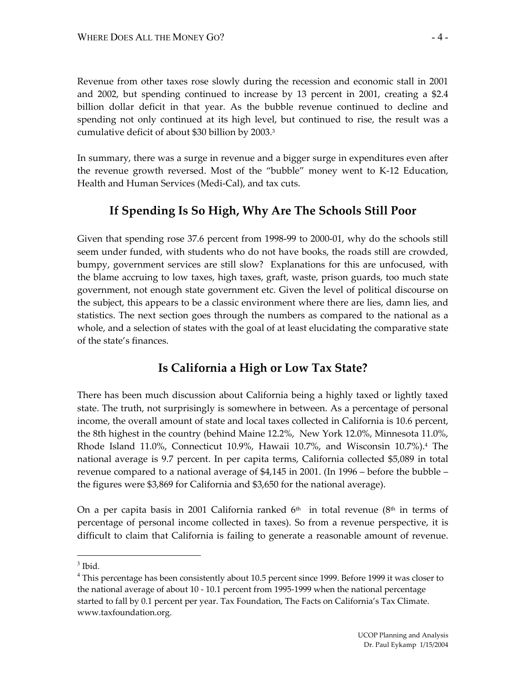Revenue from other taxes rose slowly during the recession and economic stall in 2001 and 2002, but spending continued to increase by 13 percent in 2001, creating a \$2.4 billion dollar deficit in that year. As the bubble revenue continued to decline and spending not only continued at its high level, but continued to rise, the result was a cumulative deficit of about \$30 billion by 2003.3

In summary, there was a surge in revenue and a bigger surge in expenditures even after the revenue growth reversed. Most of the "bubble" money went to K-12 Education, Health and Human Services (Medi-Cal), and tax cuts.

## **If Spending Is So High, Why Are The Schools Still Poor**

Given that spending rose 37.6 percent from 1998-99 to 2000-01, why do the schools still seem under funded, with students who do not have books, the roads still are crowded, bumpy, government services are still slow? Explanations for this are unfocused, with the blame accruing to low taxes, high taxes, graft, waste, prison guards, too much state government, not enough state government etc. Given the level of political discourse on the subject, this appears to be a classic environment where there are lies, damn lies, and statistics. The next section goes through the numbers as compared to the national as a whole, and a selection of states with the goal of at least elucidating the comparative state of the state's finances.

### **Is California a High or Low Tax State?**

There has been much discussion about California being a highly taxed or lightly taxed state. The truth, not surprisingly is somewhere in between. As a percentage of personal income, the overall amount of state and local taxes collected in California is 10.6 percent, the 8th highest in the country (behind Maine 12.2%, New York 12.0%, Minnesota 11.0%, Rhode Island 11.0%, Connecticut 10.9%, Hawaii 10.7%, and Wisconsin 10.7%).4 The national average is 9.7 percent. In per capita terms, California collected \$5,089 in total revenue compared to a national average of \$4,145 in 2001. (In 1996 – before the bubble – the figures were \$3,869 for California and \$3,650 for the national average).

On a per capita basis in 2001 California ranked  $6<sup>th</sup>$  in total revenue ( $8<sup>th</sup>$  in terms of percentage of personal income collected in taxes). So from a revenue perspective, it is difficult to claim that California is failing to generate a reasonable amount of revenue.

 $\overline{a}$ 

 $^3$  Ibid.<br> $^4$  This percentage has been consistently about 10.5 percent since 1999. Before 1999 it was closer to the national average of about 10 - 10.1 percent from 1995-1999 when the national percentage started to fall by 0.1 percent per year. Tax Foundation, The Facts on California's Tax Climate. www.taxfoundation.org.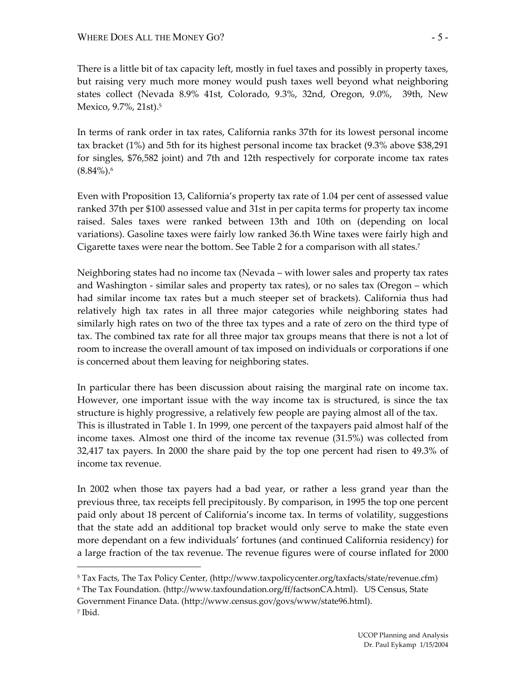$\overline{a}$ 

There is a little bit of tax capacity left, mostly in fuel taxes and possibly in property taxes, but raising very much more money would push taxes well beyond what neighboring states collect (Nevada 8.9% 41st, Colorado, 9.3%, 32nd, Oregon, 9.0%, 39th, New Mexico, 9.7%, 21st).5

In terms of rank order in tax rates, California ranks 37th for its lowest personal income tax bracket (1%) and 5th for its highest personal income tax bracket (9.3% above \$38,291 for singles, \$76,582 joint) and 7th and 12th respectively for corporate income tax rates  $(8.84\%)$ .6

Even with Proposition 13, California's property tax rate of 1.04 per cent of assessed value ranked 37th per \$100 assessed value and 31st in per capita terms for property tax income raised. Sales taxes were ranked between 13th and 10th on (depending on local variations). Gasoline taxes were fairly low ranked 36.th Wine taxes were fairly high and Cigarette taxes were near the bottom. See Table 2 for a comparison with all states.7

Neighboring states had no income tax (Nevada – with lower sales and property tax rates and Washington - similar sales and property tax rates), or no sales tax (Oregon – which had similar income tax rates but a much steeper set of brackets). California thus had relatively high tax rates in all three major categories while neighboring states had similarly high rates on two of the three tax types and a rate of zero on the third type of tax. The combined tax rate for all three major tax groups means that there is not a lot of room to increase the overall amount of tax imposed on individuals or corporations if one is concerned about them leaving for neighboring states.

In particular there has been discussion about raising the marginal rate on income tax. However, one important issue with the way income tax is structured, is since the tax structure is highly progressive, a relatively few people are paying almost all of the tax. This is illustrated in Table 1. In 1999, one percent of the taxpayers paid almost half of the income taxes. Almost one third of the income tax revenue (31.5%) was collected from 32,417 tax payers. In 2000 the share paid by the top one percent had risen to 49.3% of income tax revenue.

In 2002 when those tax payers had a bad year, or rather a less grand year than the previous three, tax receipts fell precipitously. By comparison, in 1995 the top one percent paid only about 18 percent of California's income tax. In terms of volatility, suggestions that the state add an additional top bracket would only serve to make the state even more dependant on a few individuals' fortunes (and continued California residency) for a large fraction of the tax revenue. The revenue figures were of course inflated for 2000

<sup>5</sup> Tax Facts, The Tax Policy Center, (http://www.taxpolicycenter.org/taxfacts/state/revenue.cfm)

<sup>6</sup> The Tax Foundation. (http://www.taxfoundation.org/ff/factsonCA.html). US Census, State Government Finance Data. (http://www.census.gov/govs/www/state96.html). 7 Ibid.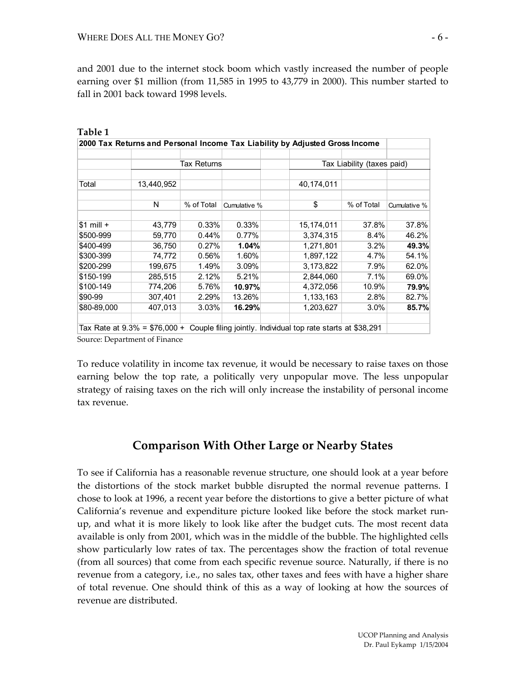and 2001 due to the internet stock boom which vastly increased the number of people earning over \$1 million (from 11,585 in 1995 to 43,779 in 2000). This number started to fall in 2001 back toward 1998 levels.

|             |            |             |              | 2000 Tax Returns and Personal Income Tax Liability by Adjusted Gross Income                 |                            |              |
|-------------|------------|-------------|--------------|---------------------------------------------------------------------------------------------|----------------------------|--------------|
|             |            | Tax Returns |              |                                                                                             | Tax Liability (taxes paid) |              |
| Total       | 13,440,952 |             |              | 40,174,011                                                                                  |                            |              |
|             | N          | % of Total  | Cumulative % | \$                                                                                          | % of Total                 | Cumulative % |
| $$1$ mill + | 43,779     | 0.33%       | 0.33%        | 15,174,011                                                                                  | 37.8%                      | 37.8%        |
| \$500-999   | 59,770     | 0.44%       | $0.77\%$     | 3,374,315                                                                                   | 8.4%                       | 46.2%        |
| \$400-499   | 36,750     | 0.27%       | 1.04%        | 1,271,801                                                                                   | 3.2%                       | 49.3%        |
| \$300-399   | 74,772     | 0.56%       | 1.60%        | 1,897,122                                                                                   | 4.7%                       | 54.1%        |
| \$200-299   | 199,675    | 1.49%       | 3.09%        | 3,173,822                                                                                   | 7.9%                       | 62.0%        |
| \$150-199   | 285,515    | 2.12%       | 5.21%        | 2,844,060                                                                                   | 7.1%                       | 69.0%        |
| \$100-149   | 774,206    | 5.76%       | 10.97%       | 4,372,056                                                                                   | 10.9%                      | 79.9%        |
| \$90-99     | 307,401    | 2.29%       | 13.26%       | 1,133,163                                                                                   | 2.8%                       | 82.7%        |
| \$80-89,000 | 407,013    | 3.03%       | 16.29%       | 1,203,627                                                                                   | 3.0%                       | 85.7%        |
|             |            |             |              | Tax Rate at 9.3% = \$76,000 + Couple filing jointly. Individual top rate starts at \$38,291 |                            |              |

| Table 1                                                                     |  |  |  |
|-----------------------------------------------------------------------------|--|--|--|
| 2000 Tax Returns and Personal Income Tax Liability by Adjusted Gross Income |  |  |  |
|                                                                             |  |  |  |

Source: Department of Finance

To reduce volatility in income tax revenue, it would be necessary to raise taxes on those earning below the top rate, a politically very unpopular move. The less unpopular strategy of raising taxes on the rich will only increase the instability of personal income tax revenue.

## **Comparison With Other Large or Nearby States**

To see if California has a reasonable revenue structure, one should look at a year before the distortions of the stock market bubble disrupted the normal revenue patterns. I chose to look at 1996, a recent year before the distortions to give a better picture of what California's revenue and expenditure picture looked like before the stock market runup, and what it is more likely to look like after the budget cuts. The most recent data available is only from 2001, which was in the middle of the bubble. The highlighted cells show particularly low rates of tax. The percentages show the fraction of total revenue (from all sources) that come from each specific revenue source. Naturally, if there is no revenue from a category, i.e., no sales tax, other taxes and fees with have a higher share of total revenue. One should think of this as a way of looking at how the sources of revenue are distributed.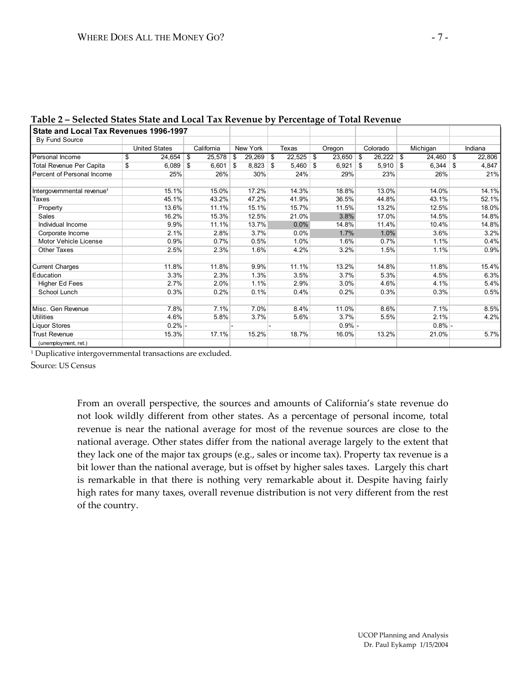|                                        |                      |           |              |      |             |      |         | $-7 - - - - - - - -$ |              |     |           |      |         |
|----------------------------------------|----------------------|-----------|--------------|------|-------------|------|---------|----------------------|--------------|-----|-----------|------|---------|
| State and Local Tax Revenues 1996-1997 |                      |           |              |      |             |      |         |                      |              |     |           |      |         |
| By Fund Source                         |                      |           |              |      |             |      |         |                      |              |     |           |      |         |
|                                        | <b>United States</b> |           | California   |      | New York    |      | Texas   | Oregon               | Colorado     |     | Michigan  |      | Indiana |
| Personal Income                        | 24,654<br>\$         |           | 25,578<br>\$ | -\$  | $29,269$ \$ |      | 22,525  | \$<br>23,650         | \$<br>26,222 | \$  | 24,460    | l \$ | 22,806  |
| Total Revenue Per Capita               | 6,089<br>\$          |           | 6,601<br>\$  | - \$ | 8,823       | - \$ | 5,460   | \$<br>6,921          | \$<br>5,910  | -\$ | 6,344     | \$   | 4,847   |
| Percent of Personal Income             |                      | 25%       | 26%          |      | 30%         |      | 24%     | 29%                  | 23%          |     | 26%       |      | 21%     |
|                                        |                      |           |              |      |             |      |         |                      |              |     |           |      |         |
| Intergovernmental revenue <sup>1</sup> | 15.1%                |           | 15.0%        |      | 17.2%       |      | 14.3%   | 18.8%                | 13.0%        |     | 14.0%     |      | 14.1%   |
| Taxes                                  | 45.1%                |           | 43.2%        |      | 47.2%       |      | 41.9%   | 36.5%                | 44.8%        |     | 43.1%     |      | 52.1%   |
| Property                               | 13.6%                |           | 11.1%        |      | 15.1%       |      | 15.7%   | 11.5%                | 13.2%        |     | 12.5%     |      | 18.0%   |
| Sales                                  | 16.2%                |           | 15.3%        |      | 12.5%       |      | 21.0%   | 3.8%                 | 17.0%        |     | 14.5%     |      | 14.8%   |
| Individual Income                      |                      | 9.9%      | 11.1%        |      | 13.7%       |      | $0.0\%$ | 14.8%                | 11.4%        |     | 10.4%     |      | 14.8%   |
| Corporate Income                       |                      | 2.1%      | 2.8%         |      | 3.7%        |      | 0.0%    | 1.7%                 | 1.0%         |     | 3.6%      |      | 3.2%    |
| Motor Vehicle License                  |                      | 0.9%      | 0.7%         |      | 0.5%        |      | 1.0%    | 1.6%                 | 0.7%         |     | 1.1%      |      | 0.4%    |
| <b>Other Taxes</b>                     |                      | 2.5%      | 2.3%         |      | 1.6%        |      | 4.2%    | 3.2%                 | 1.5%         |     | 1.1%      |      | 0.9%    |
|                                        |                      |           |              |      |             |      |         |                      |              |     |           |      |         |
| <b>Current Charges</b>                 | 11.8%                |           | 11.8%        |      | 9.9%        |      | 11.1%   | 13.2%                | 14.8%        |     | 11.8%     |      | 15.4%   |
| Education                              |                      | 3.3%      | 2.3%         |      | 1.3%        |      | 3.5%    | 3.7%                 | 5.3%         |     | 4.5%      |      | 6.3%    |
| <b>Higher Ed Fees</b>                  |                      | 2.7%      | 2.0%         |      | 1.1%        |      | 2.9%    | 3.0%                 | 4.6%         |     | 4.1%      |      | 5.4%    |
| School Lunch                           |                      | 0.3%      | 0.2%         |      | 0.1%        |      | 0.4%    | 0.2%                 | 0.3%         |     | 0.3%      |      | 0.5%    |
|                                        |                      |           |              |      |             |      |         |                      |              |     |           |      |         |
| Misc. Gen Revenue                      |                      | 7.8%      | 7.1%         |      | $7.0\%$     |      | 8.4%    | 11.0%                | 8.6%         |     | 7.1%      |      | 8.5%    |
| <b>Utilities</b>                       |                      | 4.6%      | 5.8%         |      | 3.7%        |      | 5.6%    | 3.7%                 | 5.5%         |     | 2.1%      |      | 4.2%    |
| <b>Liquor Stores</b>                   |                      | $0.2\%$ - |              |      |             |      |         | $0.9\%$ -            |              |     | $0.8\%$ - |      |         |
| <b>Trust Revenue</b>                   | 15.3%                |           | 17.1%        |      | 15.2%       |      | 18.7%   | 16.0%                | 13.2%        |     | 21.0%     |      | 5.7%    |
| (unemployment, ret.)                   |                      |           |              |      |             |      |         |                      |              |     |           |      |         |

| Table 2 - Selected States State and Local Tax Revenue by Percentage of Total Revenue |  |  |
|--------------------------------------------------------------------------------------|--|--|
|                                                                                      |  |  |

<sup>1</sup> Duplicative intergovernmental transactions are excluded.

Source: US Census

From an overall perspective, the sources and amounts of California's state revenue do not look wildly different from other states. As a percentage of personal income, total revenue is near the national average for most of the revenue sources are close to the national average. Other states differ from the national average largely to the extent that they lack one of the major tax groups (e.g., sales or income tax). Property tax revenue is a bit lower than the national average, but is offset by higher sales taxes. Largely this chart is remarkable in that there is nothing very remarkable about it. Despite having fairly high rates for many taxes, overall revenue distribution is not very different from the rest of the country.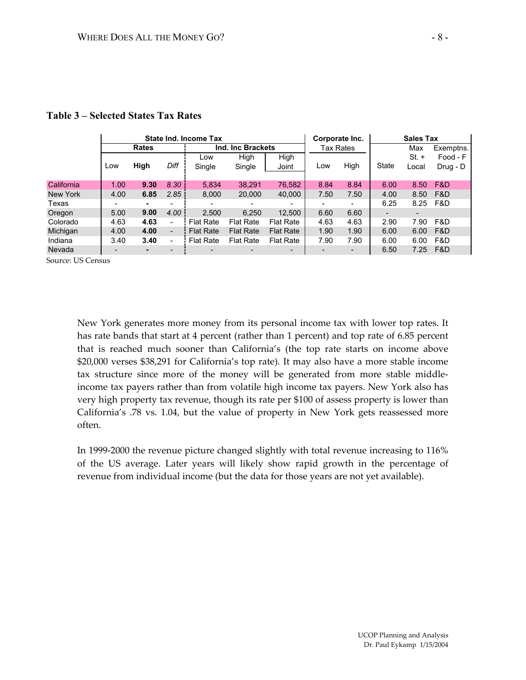|            |                 |              |                          | State Ind. Income Tax    |                          |                          |      | Corporate Inc. | <b>Sales Tax</b> |                          |            |  |
|------------|-----------------|--------------|--------------------------|--------------------------|--------------------------|--------------------------|------|----------------|------------------|--------------------------|------------|--|
|            |                 | <b>Rates</b> |                          |                          | Ind. Inc Brackets        |                          |      | Tax Rates      |                  | Max                      | Exemptns.  |  |
|            |                 |              |                          | Low                      | High                     | High                     |      |                |                  | $St. +$                  | Food - F   |  |
|            | Low             | High         | Diff                     | Single                   | Single                   | Joint                    | Low  | High           | <b>State</b>     | Local                    | $Drug - D$ |  |
|            |                 |              |                          |                          |                          |                          |      |                |                  |                          |            |  |
| California | 1.00            | 9.30         | 8.30                     | 5,834                    | 38,291                   | 76,582                   | 8.84 | 8.84           | 6.00             | 8.50                     | F&D        |  |
| New York   | 4.00            | 6.85         | 2.85                     | 8.000                    | 20,000                   | 40.000                   | 7.50 | 7.50           | 4.00             | 8.50                     | F&D        |  |
| Texas      |                 |              |                          | $\overline{\phantom{0}}$ | $\overline{\phantom{0}}$ | $\overline{\phantom{0}}$ |      |                | 6.25             | 8.25                     | F&D        |  |
| Oregon     | 5.00            | 9.00         | 4.00                     | 2.500                    | 6.250                    | 12.500                   | 6.60 | 6.60           |                  | $\overline{\phantom{a}}$ |            |  |
| Colorado   | 4.63            | 4.63         | -                        | <b>Flat Rate</b>         | <b>Flat Rate</b>         | <b>Flat Rate</b>         | 4.63 | 4.63           | 2.90             | 7.90                     | F&D        |  |
| Michigan   | 4.00            | 4.00         | $\overline{\phantom{a}}$ | <b>Flat Rate</b>         | <b>Flat Rate</b>         | <b>Flat Rate</b>         | 1.90 | 1.90           | 6.00             | 6.00                     | F&D        |  |
| Indiana    | 3.40            | 3.40         | $\overline{\phantom{a}}$ | <b>Flat Rate</b>         | <b>Flat Rate</b>         | <b>Flat Rate</b>         | 7.90 | 7.90           | 6.00             | 6.00                     | F&D        |  |
| Nevada     | $\qquad \qquad$ |              |                          |                          |                          | $\overline{\phantom{0}}$ |      |                | 6.50             | 7.25                     | F&D        |  |

#### **Table 3 – Selected States Tax Rates**

Source: US Census

New York generates more money from its personal income tax with lower top rates. It has rate bands that start at 4 percent (rather than 1 percent) and top rate of 6.85 percent that is reached much sooner than California's (the top rate starts on income above \$20,000 verses \$38,291 for California's top rate). It may also have a more stable income tax structure since more of the money will be generated from more stable middleincome tax payers rather than from volatile high income tax payers. New York also has very high property tax revenue, though its rate per \$100 of assess property is lower than California's .78 vs. 1.04, but the value of property in New York gets reassessed more often.

In 1999-2000 the revenue picture changed slightly with total revenue increasing to 116% of the US average. Later years will likely show rapid growth in the percentage of revenue from individual income (but the data for those years are not yet available).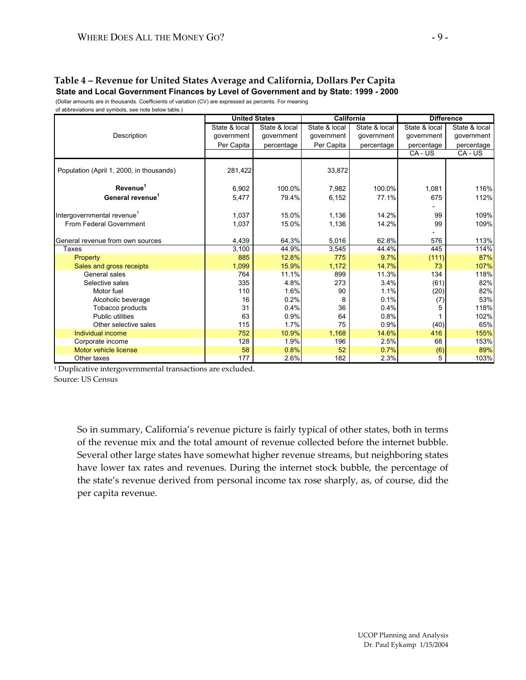#### **Table 4 – Revenue for United States Average and California, Dollars Per Capita State and Local Government Finances by Level of Government and by State: 1999 - 2000**

(Dollar amounts are in thousands. Coefficients of variation (CV) are expressed as percents. For meaning of abbreviations and symbols, see note below table.)

|                                          | <b>United States</b> |               |               | <b>California</b> | <b>Difference</b> |               |  |  |
|------------------------------------------|----------------------|---------------|---------------|-------------------|-------------------|---------------|--|--|
|                                          | State & local        | State & local | State & local | State & local     | State & local     | State & local |  |  |
| Description                              | qovernment           | government    | qovernment    | government        | government        | government    |  |  |
|                                          | Per Capita           | percentage    | Per Capita    | percentage        | percentage        | percentage    |  |  |
|                                          |                      |               |               |                   | CA - US           | CA - US       |  |  |
| Population (April 1, 2000, in thousands) | 281,422              |               | 33,872        |                   |                   |               |  |  |
| Revenue <sup>1</sup>                     | 6,902                | 100.0%        | 7,982         | 100.0%            | 1,081             | 116%          |  |  |
| General revenue <sup>1</sup>             | 5,477                | 79.4%         | 6,152         | 77.1%             | 675               | 112%          |  |  |
|                                          |                      |               |               |                   |                   |               |  |  |
| Intergovernmental revenue <sup>1</sup>   | 1,037                | 15.0%         | 1,136         | 14.2%             | 99                | 109%          |  |  |
| From Federal Government                  | 1,037                | 15.0%         | 1,136         | 14.2%             | 99                | 109%          |  |  |
|                                          |                      |               |               |                   |                   |               |  |  |
| General revenue from own sources         | 4,439                | 64.3%         | 5,016         | 62.8%             | 576               | 113%          |  |  |
| Taxes                                    | 3,100                | 44.9%         | 3,545         | 44.4%             | 445               | 114%          |  |  |
| Property                                 | 885                  | 12.8%         | 775           | 9.7%              | (111)             | 87%           |  |  |
| Sales and gross receipts                 | 1,099                | 15.9%         | 1,172         | 14.7%             | 73                | 107%          |  |  |
| General sales                            | 764                  | 11.1%         | 899           | 11.3%             | 134               | 118%          |  |  |
| Selective sales                          | 335                  | 4.8%          | 273           | 3.4%              | (61)              | 82%           |  |  |
| Motor fuel                               | 110                  | 1.6%          | 90            | 1.1%              | (20)              | 82%           |  |  |
| Alcoholic beverage                       | 16                   | 0.2%          | 8             | 0.1%              | (7)               | 53%           |  |  |
| Tobacco products                         | 31                   | 0.4%          | 36            | 0.4%              | 5                 | 118%          |  |  |
| <b>Public utilities</b>                  | 63                   | 0.9%          | 64            | 0.8%              |                   | 102%          |  |  |
| Other selective sales                    | 115                  | 1.7%          | 75            | 0.9%              | (40)              | 65%           |  |  |
| Individual income                        | 752                  | 10.9%         | 1,168         | 14.6%             | 416               | 155%          |  |  |
| Corporate income                         | 128                  | 1.9%          | 196           | 2.5%              | 68                | 153%          |  |  |
| Motor vehicle license                    | 58                   | 0.8%          | 52            | 0.7%              | (6)               | 89%           |  |  |
| Other taxes                              | 177                  | 2.6%          | 182           | 2.3%              | 5                 | 103%          |  |  |

<sup>1</sup> Duplicative intergovernmental transactions are excluded. Source: US Census

> So in summary, California's revenue picture is fairly typical of other states, both in terms of the revenue mix and the total amount of revenue collected before the internet bubble. Several other large states have somewhat higher revenue streams, but neighboring states have lower tax rates and revenues. During the internet stock bubble, the percentage of the state's revenue derived from personal income tax rose sharply, as, of course, did the per capita revenue.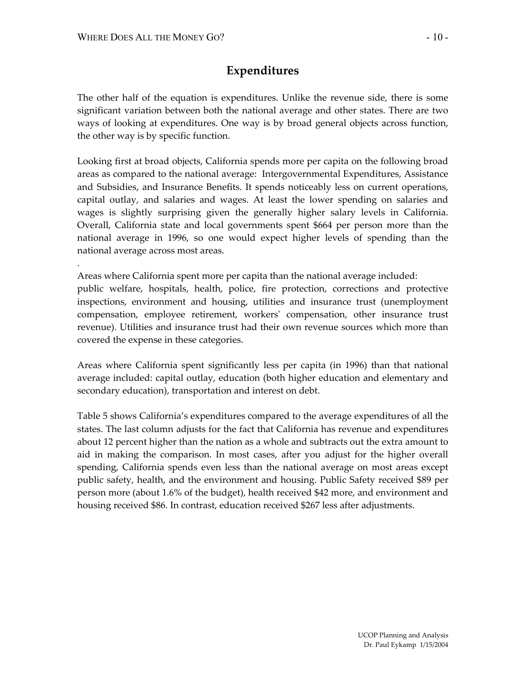.

## **Expenditures**

The other half of the equation is expenditures. Unlike the revenue side, there is some significant variation between both the national average and other states. There are two ways of looking at expenditures. One way is by broad general objects across function, the other way is by specific function.

Looking first at broad objects, California spends more per capita on the following broad areas as compared to the national average: Intergovernmental Expenditures, Assistance and Subsidies, and Insurance Benefits. It spends noticeably less on current operations, capital outlay, and salaries and wages. At least the lower spending on salaries and wages is slightly surprising given the generally higher salary levels in California. Overall, California state and local governments spent \$664 per person more than the national average in 1996, so one would expect higher levels of spending than the national average across most areas.

Areas where California spent more per capita than the national average included: public welfare, hospitals, health, police, fire protection, corrections and protective inspections, environment and housing, utilities and insurance trust (unemployment compensation, employee retirement, workers' compensation, other insurance trust revenue). Utilities and insurance trust had their own revenue sources which more than covered the expense in these categories.

Areas where California spent significantly less per capita (in 1996) than that national average included: capital outlay, education (both higher education and elementary and secondary education), transportation and interest on debt.

Table 5 shows California's expenditures compared to the average expenditures of all the states. The last column adjusts for the fact that California has revenue and expenditures about 12 percent higher than the nation as a whole and subtracts out the extra amount to aid in making the comparison. In most cases, after you adjust for the higher overall spending, California spends even less than the national average on most areas except public safety, health, and the environment and housing. Public Safety received \$89 per person more (about 1.6% of the budget), health received \$42 more, and environment and housing received \$86. In contrast, education received \$267 less after adjustments.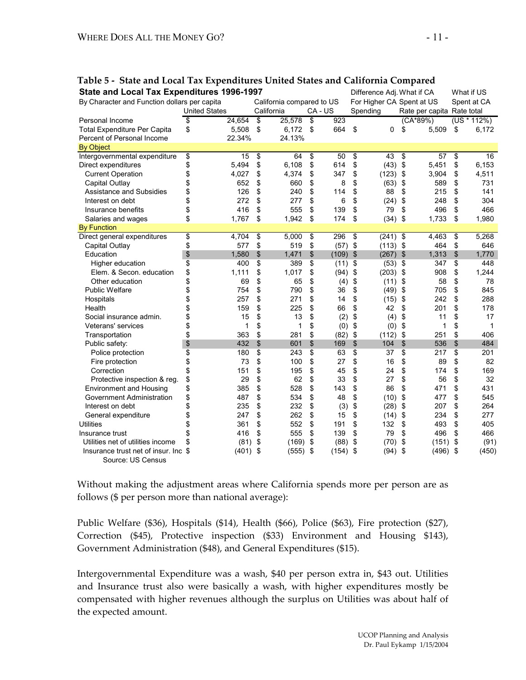| State and Local Tax Expenditures 1996-1997<br>By Character and Function dollars per capita |                      | California compared to US |            |       | Difference Adj. What if CA<br>For Higher CA Spent at US |            |    |                            |               | What if US<br>Spent at CA |  |  |
|--------------------------------------------------------------------------------------------|----------------------|---------------------------|------------|-------|---------------------------------------------------------|------------|----|----------------------------|---------------|---------------------------|--|--|
|                                                                                            | <b>United States</b> | California                |            | CA-US |                                                         | Spending   |    | Rate per capita Rate total |               |                           |  |  |
| Personal Income                                                                            | \$<br>24.654         | \$<br>25.578              | \$         | 923   |                                                         |            |    | (CA*89%)                   |               | $(US * 112%)$             |  |  |
| <b>Total Expenditure Per Capita</b>                                                        | \$<br>5,508          | \$<br>6,172               | $\sqrt{2}$ | 664   | \$                                                      | 0          | \$ | 5,509                      | \$            | 6,172                     |  |  |
| Percent of Personal Income                                                                 | 22.34%               | 24.13%                    |            |       |                                                         |            |    |                            |               |                           |  |  |
| <b>By Object</b>                                                                           |                      |                           |            |       |                                                         |            |    |                            |               |                           |  |  |
| Intergovernmental expenditure                                                              | \$<br>15             | \$<br>64                  | \$         | 50    | \$                                                      | 43         | \$ | 57                         | \$            | 16                        |  |  |
| Direct expenditures                                                                        | \$<br>5,494          | \$<br>6,108               | \$         | 614   | \$                                                      | (43)       | \$ | 5.451                      | \$            | 6,153                     |  |  |
| <b>Current Operation</b>                                                                   | \$<br>4,027          | \$<br>4,374               | \$         | 347   | \$                                                      | (123)      | \$ | 3,904                      | \$            | 4,511                     |  |  |
| Capital Outlay                                                                             | \$<br>652            | \$<br>660                 | \$         | 8     | \$                                                      | (63)       | \$ | 589                        | \$            | 731                       |  |  |
| Assistance and Subsidies                                                                   | \$<br>126            | \$<br>240                 | \$         | 114   | \$                                                      | 88         | \$ | 215                        | \$            | 141                       |  |  |
| Interest on debt                                                                           | \$<br>272            | \$<br>277                 | \$         | 6     | \$                                                      | (24)       | \$ | 248                        | \$            | 304                       |  |  |
| Insurance benefits                                                                         | \$<br>416            | \$<br>555                 | \$         | 139   | \$                                                      | 79         | \$ | 496                        | \$            | 466                       |  |  |
| Salaries and wages                                                                         | \$<br>1,767          | \$<br>1,942               | \$         | 174   | \$                                                      | (34)       | \$ | 1,733                      | \$            | 1,980                     |  |  |
| <b>By Function</b>                                                                         |                      |                           |            |       |                                                         |            |    |                            |               |                           |  |  |
| Direct general expenditures                                                                | \$<br>4,704          | \$<br>5,000               | \$         | 296   | \$                                                      | $(241)$ \$ |    | 4,463                      | \$            | 5,268                     |  |  |
| Capital Outlay                                                                             | \$<br>577            | \$<br>519                 | \$         | (57)  | $\sqrt{2}$                                              | $(113)$ \$ |    | 464                        | \$            | 646                       |  |  |
| Education                                                                                  | \$<br>1,580          | \$<br>1,471               | \$         | (109) | $\sqrt[6]{\frac{1}{2}}$                                 | (267)      | \$ | 1,313                      | $\mathsf{\$}$ | 1,770                     |  |  |
| Higher education                                                                           | \$<br>400            | \$<br>389                 | \$         | (11)  | \$                                                      | (53)       | \$ | 347                        | \$            | 448                       |  |  |
| Elem. & Secon. education                                                                   | \$<br>1,111          | \$<br>1,017               | \$         | (94)  | \$                                                      | (203)      | \$ | 908                        | \$            | 1,244                     |  |  |
| Other education                                                                            | \$<br>69             | \$<br>65                  | \$         | (4)   | \$                                                      | (11)       | \$ | 58                         | \$            | 78                        |  |  |
| <b>Public Welfare</b>                                                                      | \$<br>754            | \$<br>790                 | \$         | 36    | \$                                                      | (49)       | \$ | 705                        | \$            | 845                       |  |  |
| Hospitals                                                                                  | \$<br>257            | \$<br>271                 | \$         | 14    | \$                                                      | (15)       | \$ | 242                        | \$            | 288                       |  |  |
| Health                                                                                     | \$<br>159            | \$<br>225                 | \$         | 66    | \$                                                      | 42         | \$ | 201                        | \$            | 178                       |  |  |
| Social insurance admin.                                                                    | \$<br>15             | \$<br>13                  | \$         | (2)   | \$                                                      | (4)        | \$ | 11                         | \$            | 17                        |  |  |
| <b>Veterans' services</b>                                                                  | \$<br>1              | \$<br>1                   | \$         | (0)   | \$                                                      | (0)        | \$ | 1                          | \$            |                           |  |  |
| Transportation                                                                             | \$<br>363            | \$<br>281                 | \$         | (82)  | \$                                                      | (112)      | \$ | 251                        | \$            | 406                       |  |  |
| Public safety:                                                                             | \$<br>432            | \$<br>601                 | \$         | 169   | \$                                                      | 104        | \$ | 536                        | $\frac{1}{2}$ | 484                       |  |  |
| Police protection                                                                          | \$<br>180            | \$<br>243                 | \$         | 63    | \$                                                      | 37         | \$ | 217                        | \$            | 201                       |  |  |
| Fire protection                                                                            | \$<br>73             | \$<br>100                 | \$         | 27    | \$                                                      | 16         | \$ | 89                         | \$            | 82                        |  |  |
| Correction                                                                                 | \$<br>151            | \$<br>195                 | \$         | 45    | \$                                                      | 24         | \$ | 174                        | \$            | 169                       |  |  |
| Protective inspection & reg.                                                               | \$<br>29             | \$<br>62                  | \$         | 33    | \$                                                      | 27         | \$ | 56                         | \$            | 32                        |  |  |
| <b>Environment and Housing</b>                                                             | \$<br>385            | \$<br>528                 | \$         | 143   | \$                                                      | 86         | \$ | 471                        | \$            | 431                       |  |  |
| Government Administration                                                                  | \$<br>487            | \$<br>534                 | \$         | 48    | \$                                                      | (10)       | \$ | 477                        | \$            | 545                       |  |  |
| Interest on debt                                                                           | \$<br>235            | \$<br>232                 | \$         | (3)   | \$                                                      | (28)       | \$ | 207                        | \$            | 264                       |  |  |
| General expenditure                                                                        | \$<br>247            | \$<br>262                 | \$         | 15    | \$                                                      | (14)       | \$ | 234                        | \$            | 277                       |  |  |
| <b>Utilities</b>                                                                           | 361                  | \$<br>552                 | \$         | 191   | \$                                                      | 132        | \$ | 493                        | \$            | 405                       |  |  |
| Insurance trust                                                                            | 416                  | \$<br>555                 | \$         | 139   | \$                                                      | 79         | \$ | 496                        | \$            | 466                       |  |  |
| Utilities net of utilities income                                                          | (81)                 | \$<br>(169)               | \$         | (88)  | \$                                                      | (70)       | \$ | (151)                      | \$            | (91)                      |  |  |
| Insurance trust net of insur. Inc \$                                                       | (401)                | \$<br>(555)               | \$         | (154) | \$                                                      | (94)       | \$ | (496)                      | \$            | (450)                     |  |  |
| Source: US Census                                                                          |                      |                           |            |       |                                                         |            |    |                            |               |                           |  |  |

# **Table 5 - State and Local Tax Expenditures United States and California Compared**

Without making the adjustment areas where California spends more per person are as follows (\$ per person more than national average):

Public Welfare (\$36), Hospitals (\$14), Health (\$66), Police (\$63), Fire protection (\$27), Correction (\$45), Protective inspection (\$33) Environment and Housing \$143), Government Administration (\$48), and General Expenditures (\$15).

Intergovernmental Expenditure was a wash, \$40 per person extra in, \$43 out. Utilities and Insurance trust also were basically a wash, with higher expenditures mostly be compensated with higher revenues although the surplus on Utilities was about half of the expected amount.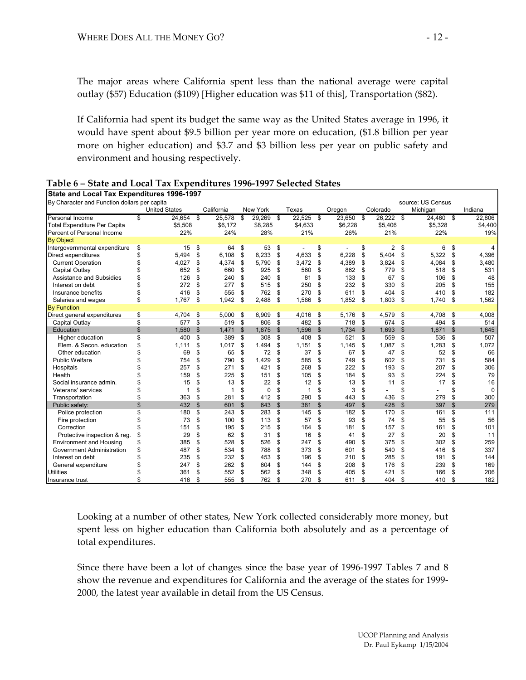The major areas where California spent less than the national average were capital outlay (\$57) Education (\$109) [Higher education was \$11 of this], Transportation (\$82).

If California had spent its budget the same way as the United States average in 1996, it would have spent about \$9.5 billion per year more on education, (\$1.8 billion per year more on higher education) and \$3.7 and \$3 billion less per year on public safety and environment and housing respectively.

| State and Local Tax Expenditures 1996-1997   |    |                      |               |            |                |           |                |             |                           |         |                |          |              |                   |                |             |
|----------------------------------------------|----|----------------------|---------------|------------|----------------|-----------|----------------|-------------|---------------------------|---------|----------------|----------|--------------|-------------------|----------------|-------------|
| By Character and Function dollars per capita |    |                      |               |            |                |           |                |             |                           |         |                |          |              | source: US Census |                |             |
|                                              |    | <b>United States</b> |               | California |                | New York  |                | Texas       |                           | Oregon  |                | Colorado |              | Michigan          |                | Indiana     |
| Personal Income                              | \$ | 24,654               | \$            | 25,578     | \$             | 29,269 \$ |                | 22,525      | \$                        | 23,650  | \$             | 26,222   | - \$         | 24,460            | - \$           | 22,806      |
| <b>Total Expenditure Per Capita</b>          |    | \$5,508              |               | \$6,172    |                | \$8,285   |                | \$4,633     |                           | \$6,228 |                | \$5,406  |              | \$5,328           |                | \$4,400     |
| Percent of Personal Income                   |    | 22%                  |               | 24%        |                | 28%       |                | 21%         |                           | 26%     |                | 21%      |              | 22%               |                | 19%         |
| <b>By Object</b>                             |    |                      |               |            |                |           |                |             |                           |         |                |          |              |                   |                |             |
| Intergovernmental expenditure                | \$ | 15                   | \$            | 64         | \$             | 53        | \$             |             | \$                        |         | \$             | 2        | \$           | 6                 | \$             | 4           |
| Direct expenditures                          | \$ | 5,494                | \$            | 6,108      | \$             | 8,233     | \$             | 4,633       | \$                        | 6,228   | \$             | 5,404    | \$           | 5,322             | \$             | 4,396       |
| <b>Current Operation</b>                     | \$ | 4,027                | \$            | 4,374      | \$             | 5,790     | \$             | 3,472       | \$                        | 4,389   | \$             | 3,824    | \$           | 4,084             | \$             | 3,480       |
| Capital Outlay                               | \$ | 652                  | \$            | 660        | \$             | 925       | \$             | 560         | \$                        | 862     | \$             | 779      | \$           | 518               | \$             | 531         |
| Assistance and Subsidies                     | \$ | 126                  | \$            | 240        | \$             | 240       | \$             | 81          | \$                        | 133     | \$             | 67       | \$           | 106               | \$             | 48          |
| Interest on debt                             | \$ | 272                  | \$            | 277        | \$             | 515       | \$             | 250         | \$                        | 232     | \$             | 330      | \$           | 205               | \$             | 155         |
| Insurance benefits                           | \$ | 416                  | \$            | 555        | \$             | 762       | \$             | 270         | \$                        | 611     | \$             | 404      | \$           | 410               | \$             | 182         |
| Salaries and wages                           | \$ | 1,767                | \$            | 1,942      | \$             | 2,488     | \$             | 1,586       | \$                        | 1,852   | \$             | 1,803    | \$           | 1,740             | \$             | 1,562       |
| <b>By Function</b>                           |    |                      |               |            |                |           |                |             |                           |         |                |          |              |                   |                |             |
| Direct general expenditures                  | S  | 4,704                | S             | 5,000      | - \$           | 6,909     | \$             | 4.016       | \$                        | 5,176   | \$             | 4,579    | \$           | 4.708             | S              | 4,008       |
| Capital Outlay                               | \$ | 577                  | \$            | 519        | \$             | 806       | <b>S</b>       | 482         | \$                        | 718     | \$             | 674      | \$           | 494               | \$             | 514         |
| Education                                    | \$ | 1,580                | $\mathsf{\$}$ | 1,471      | $\mathfrak{F}$ | 1,875     | $\mathfrak{F}$ | 1,596       | $\boldsymbol{\mathsf{S}}$ | 1,734   | $\mathfrak{F}$ | 1,693    | \$           | 1,871             | \$             | 1,645       |
| Higher education                             | \$ | 400                  | \$            | 389        | \$             | 308       | \$             | 408         | \$                        | 521     | \$             | 559      | \$           | 536               | \$             | 507         |
| Elem. & Secon. education                     | \$ | 1.111                | \$            | 1,017      | \$             | 1,494     | \$             | 1,151       | S                         | 1,145   | S              | 1,087    | \$           | 1,283             | \$             | 1,072       |
| Other education                              |    | 69                   | \$            | 65         | \$             | 72        | \$             | 37          | \$                        | 67      | \$             | 47       | \$           | 52                | \$             | 66          |
| <b>Public Welfare</b>                        |    | 754                  | \$            | 790        | \$             | 1,429     | \$             | 585         | \$                        | 749     | \$             | 602      | \$           | 731               | \$             | 584         |
| Hospitals                                    |    | 257                  | \$            | 271        | \$             | 421       | \$             | 268         | \$                        | 222     | \$             | 193      | \$           | 207               | \$             | 306         |
| Health                                       |    | 159                  | \$            | 225        | \$             | 151       | \$             | 105         | \$                        | 184     | S              | 93       | \$           | 224               | \$             | 79          |
| Social insurance admin.                      |    | 15                   | \$            | 13         | \$             | 22        | S              | 12          | \$                        | 13      | S              | 11       | \$           | 17                | \$             | 16          |
| Veterans' services                           | \$ | 1                    | \$            | 1          | S              | 0         | S              | $\mathbf 1$ | \$                        | 3       | \$             |          | \$           |                   | \$             | $\mathbf 0$ |
| Transportation                               | \$ | 363                  | \$            | 281        | \$             | 412       | \$             | 290         | \$                        | 443     | \$             | 436      | \$           | 279               | \$             | 300         |
| Public safety:                               | \$ | 432                  | $\mathbb{S}$  | 601        | $\mathfrak{S}$ | 643       | $\mathfrak{S}$ | 381         | $\mathsf{\$}$             | 497     | $\mathfrak{S}$ | 428      | $\mathbb{S}$ | 397               | $\mathfrak{s}$ | 279         |
| Police protection                            | \$ | 180                  | \$            | 243        | \$             | 283       | \$             | 145         | \$                        | 182     | \$             | 170      | \$           | 161               | \$             | 111         |
| Fire protection                              | \$ | 73                   | \$            | 100        | \$             | 113       | \$             | 57          | \$                        | 93      | \$             | 74       | \$           | 55                | \$             | 56          |
| Correction                                   |    | 151                  | \$            | 195        | \$             | 215       | \$             | 164         | \$                        | 181     | \$             | 157      | \$           | 161               | \$             | 101         |
| Protective inspection & reg.                 | \$ | 29                   | \$            | 62         | \$             | 31        | \$             | 16          | S                         | 41      | S              | 27       | \$           | 20                | \$             | 11          |
| <b>Environment and Housing</b>               | \$ | 385                  | \$            | 528        | \$             | 526       | \$             | 247         | \$                        | 490     | S              | 375      | \$           | 302               | \$             | 259         |
| <b>Government Administration</b>             | \$ | 487                  | \$            | 534        | \$             | 788       | \$             | 373         | \$                        | 601     | S              | 540      | \$           | 416               | \$             | 337         |
| Interest on debt                             | \$ | 235                  | \$            | 232        | \$             | 453       | \$             | 196         | \$                        | 210     | S              | 285      | \$           | 191               | \$             | 144         |
| General expenditure                          | \$ | 247                  | \$            | 262        | \$             | 604       | \$             | 144         | \$                        | 208     | S              | 176      | \$           | 239               | \$             | 169         |
| <b>Utilities</b>                             | \$ | 361                  | \$            | 552        | \$             | 562       | \$             | 348         | \$                        | 405     | S              | 421      | \$           | 166               | \$             | 206         |
| Insurance trust                              | \$ | 416                  | \$            | 555        | \$             | 762       | S              | 270         | \$                        | 611     | S              | 404      | \$           | 410               | \$             | 182         |

#### **Table 6 – State and Local Tax Expenditures 1996-1997 Selected States**

Looking at a number of other states, New York collected considerably more money, but spent less on higher education than California both absolutely and as a percentage of total expenditures.

Since there have been a lot of changes since the base year of 1996-1997 Tables 7 and 8 show the revenue and expenditures for California and the average of the states for 1999- 2000, the latest year available in detail from the US Census.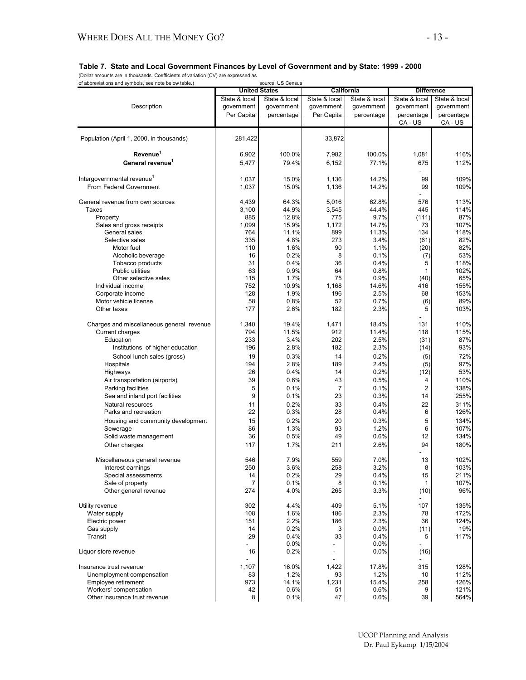(Dollar amounts are in thousands. Coefficients of variation (CV) are expressed as

| of abbreviations and symbols, see note below table.) |                       | source: US Census<br><b>United States</b> | California     |               | <b>Difference</b> |               |
|------------------------------------------------------|-----------------------|-------------------------------------------|----------------|---------------|-------------------|---------------|
|                                                      | State & local         | State & local                             | State & local  | State & local | State & local     | State & local |
| Description                                          | government            | government                                | government     | government    | government        | government    |
|                                                      | Per Capita            | percentage                                | Per Capita     | percentage    | percentage        | percentage    |
|                                                      |                       |                                           |                |               | CA - US           | CA - US       |
| Population (April 1, 2000, in thousands)             | 281,422               |                                           | 33,872         |               |                   |               |
| Revenue <sup>1</sup>                                 | 6,902                 | 100.0%                                    | 7,982          | 100.0%        | 1,081             | 116%          |
| General revenue <sup>1</sup>                         | 5,477                 | 79.4%                                     | 6,152          | 77.1%         | 675               | 112%          |
| Intergovernmental revenue <sup>1</sup>               | 1,037                 | 15.0%                                     | 1,136          | 14.2%         | 99                | 109%          |
| From Federal Government                              | 1,037                 | 15.0%                                     | 1,136          | 14.2%         | 99                | 109%          |
| General revenue from own sources                     | 4,439                 | 64.3%                                     | 5,016          | 62.8%         | 576               | 113%          |
| Taxes                                                | 3,100                 | 44.9%                                     | 3,545          | 44.4%         | 445               | 114%          |
| Property                                             | 885                   | 12.8%                                     | 775            | 9.7%          | (111)             | 87%           |
| Sales and gross receipts                             | 1,099                 | 15.9%                                     | 1,172          | 14.7%         | 73                | 107%          |
| General sales                                        | 764                   | 11.1%                                     | 899            | 11.3%         | 134               | 118%          |
| Selective sales                                      | 335                   | 4.8%                                      | 273            | 3.4%          | (61)              | 82%           |
| Motor fuel                                           | 110                   | 1.6%                                      | 90             | 1.1%          | (20)              | 82%           |
| Alcoholic beverage                                   | 16                    | 0.2%                                      | 8              | 0.1%          | (7)               | 53%           |
| Tobacco products                                     | 31                    | 0.4%                                      | 36             | 0.4%          | 5                 | 118%          |
| <b>Public utilities</b>                              | 63                    | 0.9%                                      | 64             | 0.8%          | 1                 | 102%          |
| Other selective sales                                | 115                   | 1.7%                                      | 75             | 0.9%          | (40)              | 65%           |
| Individual income                                    | 752                   | 10.9%                                     | 1,168          | 14.6%         | 416               | 155%          |
| Corporate income                                     | 128                   | 1.9%                                      | 196            | 2.5%          | 68                | 153%          |
| Motor vehicle license                                | 58                    | 0.8%                                      | 52             | 0.7%          | (6)               | 89%           |
| Other taxes                                          | 177                   | 2.6%                                      | 182            | 2.3%          | 5                 | 103%          |
| Charges and miscellaneous general revenue            | 1,340                 | 19.4%                                     | 1,471          | 18.4%         | 131               | 110%          |
| Current charges                                      | 794                   | 11.5%                                     | 912            | 11.4%         | 118               | 115%          |
| Education                                            | 233                   | 3.4%                                      | 202            | 2.5%          | (31)              | 87%           |
| Institutions of higher education                     | 196                   | 2.8%                                      | 182            | 2.3%          | (14)              | 93%           |
| School lunch sales (gross)                           | 19                    | 0.3%                                      | 14             | 0.2%          | (5)               | 72%           |
| Hospitals                                            | 194                   | 2.8%                                      | 189            | 2.4%          | (5)               | 97%           |
| Highways                                             | 26                    | 0.4%                                      | 14             | 0.2%          | (12)              | 53%           |
| Air transportation (airports)                        | 39                    | 0.6%                                      | 43             | 0.5%          | 4                 | 110%          |
| Parking facilities                                   | 5                     | 0.1%                                      | $\overline{7}$ | 0.1%          | $\overline{2}$    | 138%          |
| Sea and inland port facilities                       | 9                     | 0.1%                                      | 23             | 0.3%          | 14                | 255%          |
| Natural resources                                    | 11                    | 0.2%                                      | 33             | 0.4%          | 22                | 311%          |
| Parks and recreation                                 | 22                    | 0.3%                                      | 28             | 0.4%          | 6                 | 126%          |
| Housing and community development                    | 15                    | 0.2%                                      | 20             | 0.3%          | 5                 | 134%          |
| Sewerage                                             | 86                    | 1.3%                                      | 93             | 1.2%          | 6                 | 107%          |
| Solid waste management                               | 36                    | 0.5%                                      | 49             | 0.6%          | 12                | 134%          |
| Other charges                                        | 117                   | 1.7%                                      | 211            | 2.6%          | 94                | 180%          |
|                                                      |                       |                                           |                |               |                   |               |
| Miscellaneous general revenue                        | 546                   | 7.9%                                      | 559            | 7.0%          | 13                | 102%          |
| Interest earnings                                    | 250                   | 3.6%                                      | 258            | 3.2%          | 8                 | 103%          |
| Special assessments                                  | 14                    | 0.2%                                      | 29             | 0.4%          | 15                | 211%          |
| Sale of property<br>Other general revenue            | $\overline{7}$<br>274 | 0.1%<br>4.0%                              | 8<br>265       | 0.1%<br>3.3%  | 1<br>(10)         | 107%<br>96%   |
|                                                      |                       |                                           |                |               |                   |               |
| Utility revenue                                      | 302                   | 4.4%                                      | 409            | 5.1%          | 107               | 135%          |
| Water supply                                         | 108                   | 1.6%                                      | 186            | 2.3%          | 78                | 172%          |
| Electric power                                       | 151                   | 2.2%                                      | 186            | 2.3%          | 36                | 124%          |
| Gas supply                                           | 14                    | 0.2%                                      | 3              | 0.0%          | (11)              | 19%           |
| Transit                                              | 29                    | 0.4%                                      | 33             | 0.4%          | 5                 | 117%          |
| Liquor store revenue                                 | 16                    | 0.0%<br>0.2%                              |                | 0.0%<br>0.0%  | (16)              |               |
| Insurance trust revenue                              | 1,107                 | 16.0%                                     | 1,422          | 17.8%         | 315               | 128%          |
| Unemployment compensation                            | 83                    | 1.2%                                      | 93             | 1.2%          | 10                | 112%          |
| Employee retirement                                  | 973                   | 14.1%                                     | 1,231          | 15.4%         | 258               | 126%          |
| Workers' compensation                                | 42                    | 0.6%                                      | 51             | 0.6%          | 9                 | 121%          |
| Other insurance trust revenue                        | 8                     | 0.1%                                      | 47             | 0.6%          | 39                | 564%          |
|                                                      |                       |                                           |                |               |                   |               |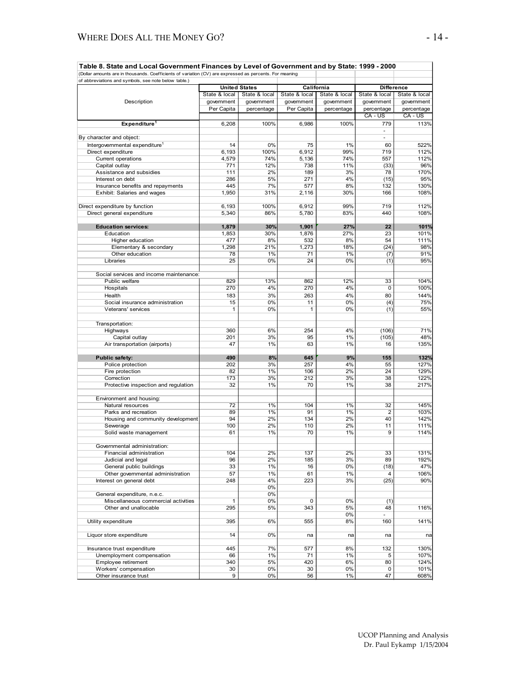| Table 8. State and Local Government Finances by Level of Government and by State: 1999 - 2000<br>(Dollar amounts are in thousands. Coefficients of variation (CV) are expressed as percents. For meaning |                      |               |                |               |                          |               |
|----------------------------------------------------------------------------------------------------------------------------------------------------------------------------------------------------------|----------------------|---------------|----------------|---------------|--------------------------|---------------|
| of abbreviations and symbols, see note below table.)                                                                                                                                                     |                      |               |                |               |                          |               |
|                                                                                                                                                                                                          | <b>United States</b> |               | California     |               | <b>Difference</b>        |               |
|                                                                                                                                                                                                          | State & local        | State & local | State & local  | State & local | State & local            | State & local |
| Description                                                                                                                                                                                              | government           | government    | government     | government    | government               | government    |
|                                                                                                                                                                                                          | Per Capita           | percentage    | Per Capita     | percentage    | percentage               | percentage    |
|                                                                                                                                                                                                          |                      |               |                |               | CA - US                  | CA - US       |
| Expenditure <sup>1</sup>                                                                                                                                                                                 | 6,208                | 100%          | 6,986          | 100%          | 779                      | 113%          |
|                                                                                                                                                                                                          |                      |               |                |               | ÷,                       |               |
| By character and object:                                                                                                                                                                                 |                      |               |                |               | $\overline{\phantom{a}}$ |               |
| Intergovernmental expenditure <sup>1</sup>                                                                                                                                                               | 14                   | 0%            | 75             | 1%            | 60                       | 522%          |
| Direct expenditure                                                                                                                                                                                       | 6,193<br>4,579       | 100%<br>74%   | 6,912<br>5,136 | 99%<br>74%    | 719<br>557               | 112%<br>112%  |
| Current operations<br>Capital outlay                                                                                                                                                                     | 771                  | 12%           | 738            | 11%           | (33)                     | 96%           |
| Assistance and subsidies                                                                                                                                                                                 | 111                  | 2%            | 189            | 3%            | 78                       | 170%          |
| Interest on debt                                                                                                                                                                                         | 286                  | 5%            | 271            | 4%            | (15)                     | 95%           |
| Insurance benefits and repayments                                                                                                                                                                        | 445                  | 7%            | 577            | 8%            | 132                      | 130%          |
| Exhibit: Salaries and wages                                                                                                                                                                              | 1,950                | 31%           | 2,116          | 30%           | 166                      | 108%          |
|                                                                                                                                                                                                          |                      |               |                |               |                          |               |
| Direct expenditure by function                                                                                                                                                                           | 6,193                | 100%          | 6,912          | 99%           | 719                      | 112%          |
| Direct general expenditure                                                                                                                                                                               | 5,340                | 86%           | 5,780          | 83%           | 440                      | 108%          |
|                                                                                                                                                                                                          |                      |               |                |               |                          |               |
| <b>Education services:</b>                                                                                                                                                                               | 1,879                | 30%           | 1,901          | 27%           | 22                       | 101%          |
| Education                                                                                                                                                                                                | 1,853                | 30%           | 1,876          | 27%           | 23                       | 101%          |
| Higher education                                                                                                                                                                                         | 477                  | 8%            | 532            | 8%            | 54                       | 111%          |
| Elementary & secondary                                                                                                                                                                                   | 1,298                | 21%           | 1,273          | 18%           | (24)                     | 98%           |
| Other education                                                                                                                                                                                          | 78                   | 1%            | 71             | 1%            | (7)                      | 91%           |
| Libraries                                                                                                                                                                                                | 25                   | 0%            | 24             | 0%            | (1)                      | 95%           |
|                                                                                                                                                                                                          |                      |               |                |               |                          |               |
| Social services and income maintenance:<br>Public welfare                                                                                                                                                | 829                  |               | 862            | 12%           | 33                       | 104%          |
| Hospitals                                                                                                                                                                                                | 270                  | 13%<br>4%     | 270            | 4%            | $\mathbf 0$              | 100%          |
|                                                                                                                                                                                                          |                      |               | 263            | 4%            | 80                       | 144%          |
| Health<br>Social insurance administration                                                                                                                                                                | 183<br>15            | 3%<br>0%      | 11             | 0%            | (4)                      | 75%           |
| Veterans' services                                                                                                                                                                                       | 1                    | 0%            | 1              | 0%            | (1)                      | 55%           |
|                                                                                                                                                                                                          |                      |               |                |               |                          |               |
| Transportation:                                                                                                                                                                                          |                      |               |                |               |                          |               |
| Highways                                                                                                                                                                                                 | 360                  | 6%            | 254            | 4%            | (106)                    | 71%           |
| Capital outlay                                                                                                                                                                                           | 201                  | 3%            | 95             | 1%            | (105)                    | 48%           |
| Air transportation (airports)                                                                                                                                                                            | 47                   | 1%            | 63             | 1%            | 16                       | 135%          |
|                                                                                                                                                                                                          |                      |               |                |               |                          |               |
| Public safety:                                                                                                                                                                                           | 490                  | 8%            | 645            | 9%            | 155                      | 132%          |
| Police protection                                                                                                                                                                                        | 202                  | 3%            | 257            | 4%            | 55                       | 127%          |
| Fire protection                                                                                                                                                                                          | 82                   | 1%            | 106            | 2%            | 24                       | 129%          |
| Correction                                                                                                                                                                                               | 173                  | 3%            | 212            | 3%            | 38                       | 122%          |
| Protective inspection and regulation                                                                                                                                                                     | 32                   | 1%            | 70             | 1%            | 38                       | 217%          |
|                                                                                                                                                                                                          |                      |               |                |               |                          |               |
| Environment and housing:                                                                                                                                                                                 |                      |               |                |               |                          |               |
| Natural resources                                                                                                                                                                                        | 72                   | 1%            | 104            | 1%            | 32                       | 145%          |
| Parks and recreation                                                                                                                                                                                     | 89                   | 1%            | 91             | 1%            | $\overline{2}$           | 103%          |
| Housing and community development                                                                                                                                                                        | 94                   | 2%            | 134            | 2%            | 40                       | 142%          |
| Sewerage                                                                                                                                                                                                 | 100<br>61            | 2%<br>1%      | 110<br>70      | 2%<br>1%      | 11<br>$\overline{9}$     | 111%<br>114%  |
| Solid waste management                                                                                                                                                                                   |                      |               |                |               |                          |               |
| Governmental administration:                                                                                                                                                                             |                      |               |                |               |                          |               |
| Financial administration                                                                                                                                                                                 | 104                  | 2%            | 137            | 2%            | 33                       | 131%          |
| Judicial and legal                                                                                                                                                                                       | 96                   | 2%            | 185            | 3%            | 89                       | 192%          |
| General public buildings                                                                                                                                                                                 | 33                   | 1%            | 16             | 0%            | (18)                     | 47%           |
| Other governmental administration                                                                                                                                                                        | 57                   | 1%            | 61             | 1%            | 4                        | 106%          |
| Interest on general debt                                                                                                                                                                                 | 248                  | 4%            | 223            | 3%            | (25)                     | 90%           |
|                                                                                                                                                                                                          |                      | 0%            |                |               |                          |               |
| General expenditure, n.e.c.                                                                                                                                                                              |                      | 0%            |                |               |                          |               |
| Miscellaneous commercial activities                                                                                                                                                                      | $\mathbf{1}$         | 0%            | $\mathbf 0$    | 0%            | (1)                      |               |
| Other and unallocable                                                                                                                                                                                    | 295                  | 5%            | 343            | 5%            | 48                       | 116%          |
|                                                                                                                                                                                                          |                      |               |                | 0%            |                          |               |
| Utility expenditure                                                                                                                                                                                      | 395                  | 6%            | 555            | 8%            | 160                      | 141%          |
|                                                                                                                                                                                                          |                      |               |                |               |                          |               |
| Liquor store expenditure                                                                                                                                                                                 | 14                   | 0%            | na             | na            | na                       | na            |
|                                                                                                                                                                                                          |                      |               |                |               |                          |               |
| Insurance trust expenditure                                                                                                                                                                              | 445                  | 7%            | 577            | 8%            | 132                      | 130%          |
| Unemployment compensation                                                                                                                                                                                | 66                   | 1%            | 71             | 1%            | 5                        | 107%          |
| Employee retirement                                                                                                                                                                                      | 340                  | 5%            | 420            | 6%            | 80                       | 124%          |
| Workers' compensation<br>Other insurance trust                                                                                                                                                           | 30<br>$\overline{9}$ | 0%<br>0%      | 30<br>56       | 0%<br>1%      | 0<br>47                  | 101%<br>608%  |
|                                                                                                                                                                                                          |                      |               |                |               |                          |               |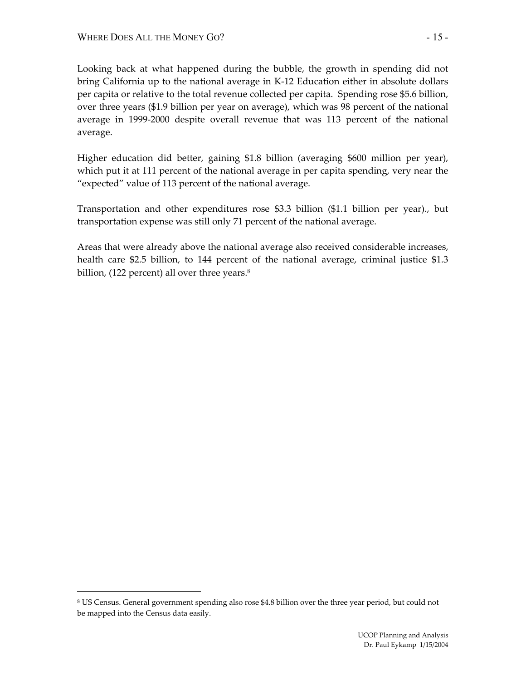Looking back at what happened during the bubble, the growth in spending did not bring California up to the national average in K-12 Education either in absolute dollars per capita or relative to the total revenue collected per capita. Spending rose \$5.6 billion, over three years (\$1.9 billion per year on average), which was 98 percent of the national average in 1999-2000 despite overall revenue that was 113 percent of the national average.

Higher education did better, gaining \$1.8 billion (averaging \$600 million per year), which put it at 111 percent of the national average in per capita spending, very near the "expected" value of 113 percent of the national average.

Transportation and other expenditures rose \$3.3 billion (\$1.1 billion per year)., but transportation expense was still only 71 percent of the national average.

Areas that were already above the national average also received considerable increases, health care \$2.5 billion, to 144 percent of the national average, criminal justice \$1.3 billion,  $(122$  percent) all over three years.<sup>8</sup>

 $\overline{a}$ 

<sup>8</sup> US Census. General government spending also rose \$4.8 billion over the three year period, but could not be mapped into the Census data easily.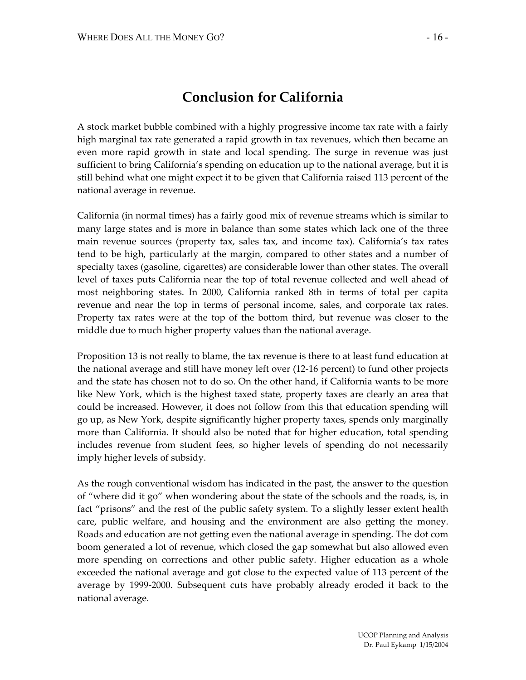# **Conclusion for California**

A stock market bubble combined with a highly progressive income tax rate with a fairly high marginal tax rate generated a rapid growth in tax revenues, which then became an even more rapid growth in state and local spending. The surge in revenue was just sufficient to bring California's spending on education up to the national average, but it is still behind what one might expect it to be given that California raised 113 percent of the national average in revenue.

California (in normal times) has a fairly good mix of revenue streams which is similar to many large states and is more in balance than some states which lack one of the three main revenue sources (property tax, sales tax, and income tax). California's tax rates tend to be high, particularly at the margin, compared to other states and a number of specialty taxes (gasoline, cigarettes) are considerable lower than other states. The overall level of taxes puts California near the top of total revenue collected and well ahead of most neighboring states. In 2000, California ranked 8th in terms of total per capita revenue and near the top in terms of personal income, sales, and corporate tax rates. Property tax rates were at the top of the bottom third, but revenue was closer to the middle due to much higher property values than the national average.

Proposition 13 is not really to blame, the tax revenue is there to at least fund education at the national average and still have money left over (12-16 percent) to fund other projects and the state has chosen not to do so. On the other hand, if California wants to be more like New York, which is the highest taxed state, property taxes are clearly an area that could be increased. However, it does not follow from this that education spending will go up, as New York, despite significantly higher property taxes, spends only marginally more than California. It should also be noted that for higher education, total spending includes revenue from student fees, so higher levels of spending do not necessarily imply higher levels of subsidy.

As the rough conventional wisdom has indicated in the past, the answer to the question of "where did it go" when wondering about the state of the schools and the roads, is, in fact "prisons" and the rest of the public safety system. To a slightly lesser extent health care, public welfare, and housing and the environment are also getting the money. Roads and education are not getting even the national average in spending. The dot com boom generated a lot of revenue, which closed the gap somewhat but also allowed even more spending on corrections and other public safety. Higher education as a whole exceeded the national average and got close to the expected value of 113 percent of the average by 1999-2000. Subsequent cuts have probably already eroded it back to the national average.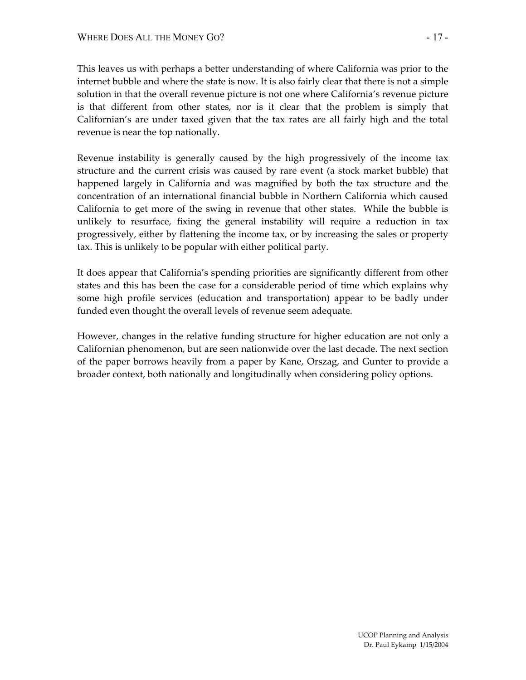This leaves us with perhaps a better understanding of where California was prior to the internet bubble and where the state is now. It is also fairly clear that there is not a simple solution in that the overall revenue picture is not one where California's revenue picture is that different from other states, nor is it clear that the problem is simply that Californian's are under taxed given that the tax rates are all fairly high and the total revenue is near the top nationally.

Revenue instability is generally caused by the high progressively of the income tax structure and the current crisis was caused by rare event (a stock market bubble) that happened largely in California and was magnified by both the tax structure and the concentration of an international financial bubble in Northern California which caused California to get more of the swing in revenue that other states. While the bubble is unlikely to resurface, fixing the general instability will require a reduction in tax progressively, either by flattening the income tax, or by increasing the sales or property tax. This is unlikely to be popular with either political party.

It does appear that California's spending priorities are significantly different from other states and this has been the case for a considerable period of time which explains why some high profile services (education and transportation) appear to be badly under funded even thought the overall levels of revenue seem adequate.

However, changes in the relative funding structure for higher education are not only a Californian phenomenon, but are seen nationwide over the last decade. The next section of the paper borrows heavily from a paper by Kane, Orszag, and Gunter to provide a broader context, both nationally and longitudinally when considering policy options.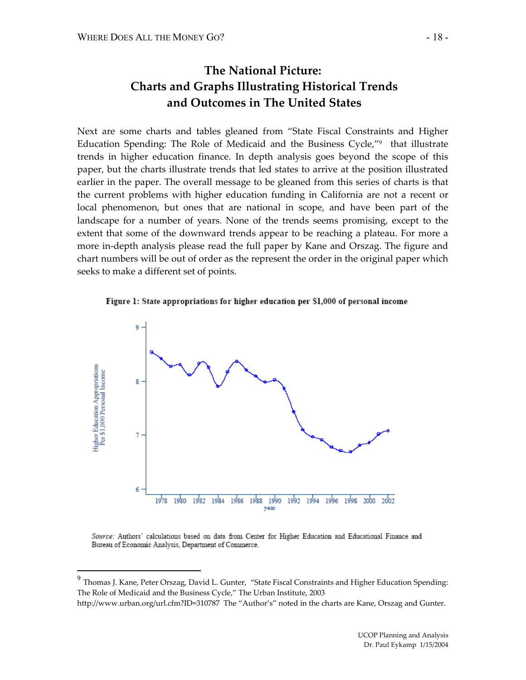$\overline{a}$ 

## **The National Picture: Charts and Graphs Illustrating Historical Trends and Outcomes in The United States**

Next are some charts and tables gleaned from "State Fiscal Constraints and Higher Education Spending: The Role of Medicaid and the Business Cycle,"9 that illustrate trends in higher education finance. In depth analysis goes beyond the scope of this paper, but the charts illustrate trends that led states to arrive at the position illustrated earlier in the paper. The overall message to be gleaned from this series of charts is that the current problems with higher education funding in California are not a recent or local phenomenon, but ones that are national in scope, and have been part of the landscape for a number of years. None of the trends seems promising, except to the extent that some of the downward trends appear to be reaching a plateau. For more a more in-depth analysis please read the full paper by Kane and Orszag. The figure and chart numbers will be out of order as the represent the order in the original paper which seeks to make a different set of points.





Source: Authors' calculations based on data from Center for Higher Education and Educational Finance and Bureau of Economic Analysis, Department of Commerce.

 $^9$  Thomas J. Kane, Peter Orszag, David L. Gunter, "State Fiscal Constraints and Higher Education Spending: The Role of Medicaid and the Business Cycle," The Urban Institute, 2003

http://www.urban.org/url.cfm?ID=310787 The "Author's" noted in the charts are Kane, Orszag and Gunter.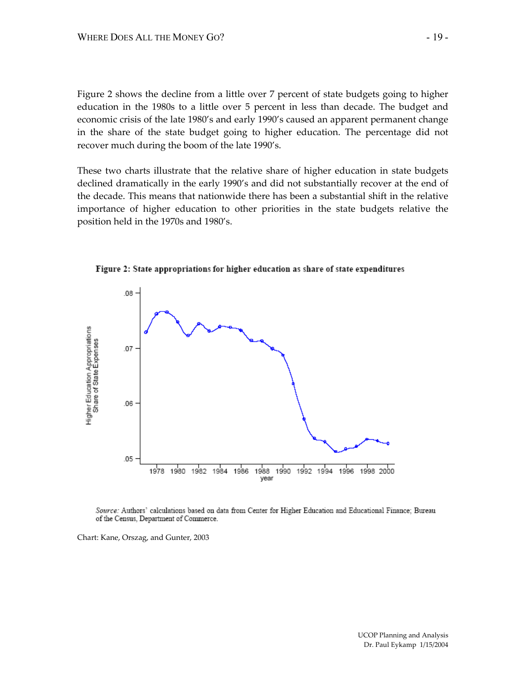Figure 2 shows the decline from a little over 7 percent of state budgets going to higher education in the 1980s to a little over 5 percent in less than decade. The budget and economic crisis of the late 1980's and early 1990's caused an apparent permanent change in the share of the state budget going to higher education. The percentage did not recover much during the boom of the late 1990's.

These two charts illustrate that the relative share of higher education in state budgets declined dramatically in the early 1990's and did not substantially recover at the end of the decade. This means that nationwide there has been a substantial shift in the relative importance of higher education to other priorities in the state budgets relative the position held in the 1970s and 1980's.



Figure 2: State appropriations for higher education as share of state expenditures

Source: Authors' calculations based on data from Center for Higher Education and Educational Finance; Bureau of the Census, Department of Commerce.

Chart: Kane, Orszag, and Gunter, 2003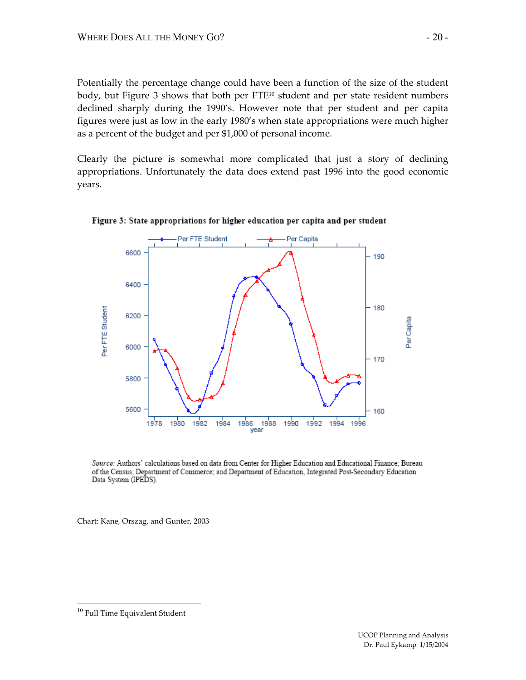Potentially the percentage change could have been a function of the size of the student body, but Figure 3 shows that both per FTE<sup>10</sup> student and per state resident numbers declined sharply during the 1990's. However note that per student and per capita figures were just as low in the early 1980's when state appropriations were much higher as a percent of the budget and per \$1,000 of personal income.

Clearly the picture is somewhat more complicated that just a story of declining appropriations. Unfortunately the data does extend past 1996 into the good economic years.



Figure 3: State appropriations for higher education per capita and per student

Source: Authors' calculations based on data from Center for Higher Education and Educational Finance; Bureau of the Census, Department of Commerce; and Department of Education, Integrated Post-Secondary Education Data System (IPEDS).

Chart: Kane, Orszag, and Gunter, 2003

<sup>10</sup> Full Time Equivalent Student

 $\overline{a}$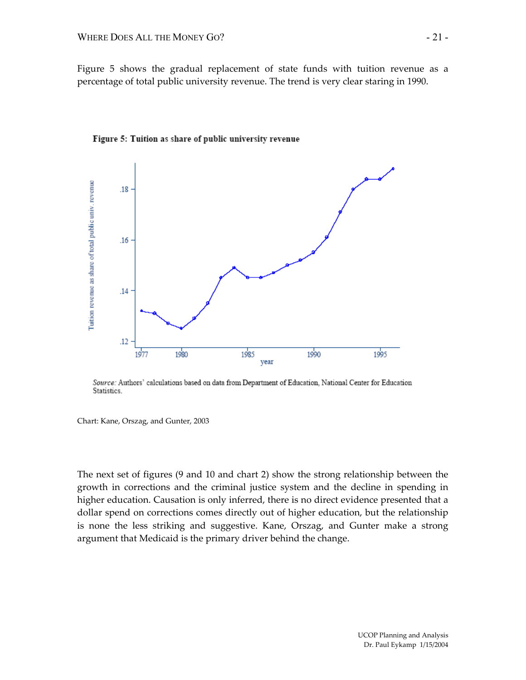Figure 5 shows the gradual replacement of state funds with tuition revenue as a percentage of total public university revenue. The trend is very clear staring in 1990.





Source: Authors' calculations based on data from Department of Education, National Center for Education Statistics.

Chart: Kane, Orszag, and Gunter, 2003

The next set of figures (9 and 10 and chart 2) show the strong relationship between the growth in corrections and the criminal justice system and the decline in spending in higher education. Causation is only inferred, there is no direct evidence presented that a dollar spend on corrections comes directly out of higher education, but the relationship is none the less striking and suggestive. Kane, Orszag, and Gunter make a strong argument that Medicaid is the primary driver behind the change.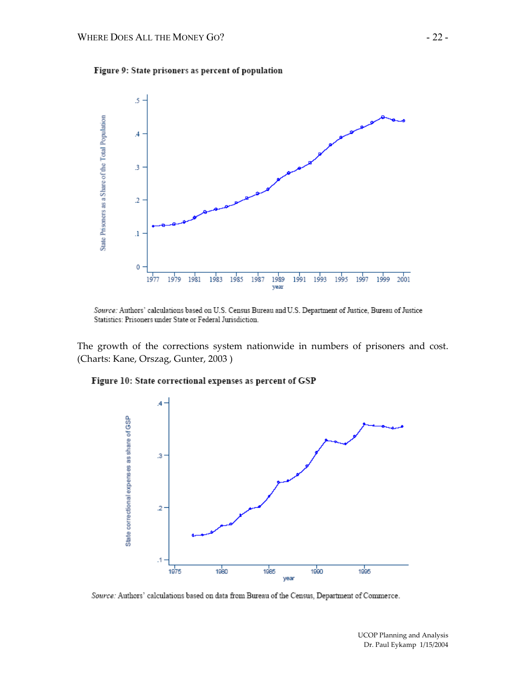



Source: Authors' calculations based on U.S. Census Bureau and U.S. Department of Justice, Bureau of Justice Statistics: Prisoners under State or Federal Jurisdiction.

The growth of the corrections system nationwide in numbers of prisoners and cost. (Charts: Kane, Orszag, Gunter, 2003 )

#### Figure 10: State correctional expenses as percent of GSP



Source: Authors' calculations based on data from Bureau of the Census, Department of Commerce.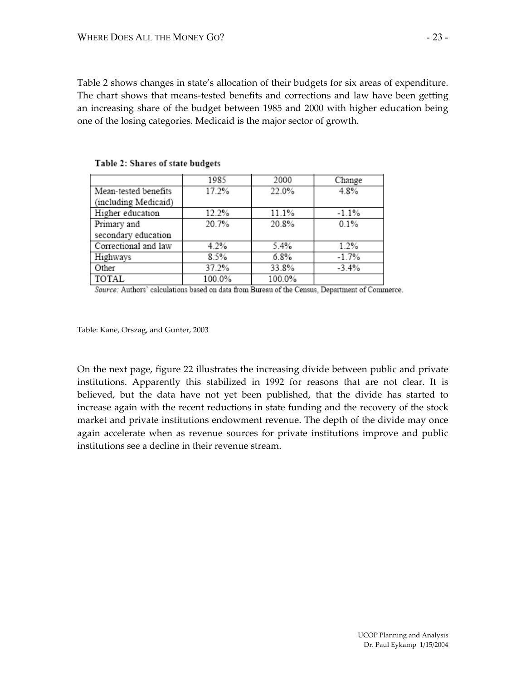Table 2 shows changes in state's allocation of their budgets for six areas of expenditure. The chart shows that means-tested benefits and corrections and law have been getting an increasing share of the budget between 1985 and 2000 with higher education being one of the losing categories. Medicaid is the major sector of growth.

|                      | 1985   | 2000   | Change  |
|----------------------|--------|--------|---------|
| Mean-tested benefits | 17.2%  | 22.0%  | 4.8%    |
| (including Medicaid) |        |        |         |
| Higher education     | 12.2%  | 11.1%  | $-1.1%$ |
| Primary and          | 20.7%  | 20.8%  | 0.1%    |
| secondary education  |        |        |         |
| Correctional and law | 4.2%   | 5.4%   | 1.2%    |
| Highways             | 8.5%   | 6.8%   | $-1.7%$ |
| Other                | 37.2%  | 33.8%  | $-3.4%$ |
| TOTAL                | 100.0% | 100.0% |         |

Table 2: Shares of state budgets

Source: Authors' calculations based on data from Bureau of the Census, Department of Commerce.

Table: Kane, Orszag, and Gunter, 2003

On the next page, figure 22 illustrates the increasing divide between public and private institutions. Apparently this stabilized in 1992 for reasons that are not clear. It is believed, but the data have not yet been published, that the divide has started to increase again with the recent reductions in state funding and the recovery of the stock market and private institutions endowment revenue. The depth of the divide may once again accelerate when as revenue sources for private institutions improve and public institutions see a decline in their revenue stream.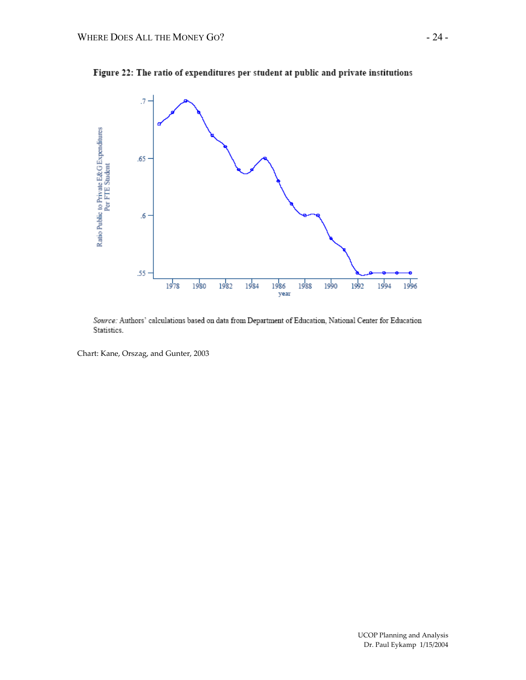



Source: Authors' calculations based on data from Department of Education, National Center for Education Statistics.

Chart: Kane, Orszag, and Gunter, 2003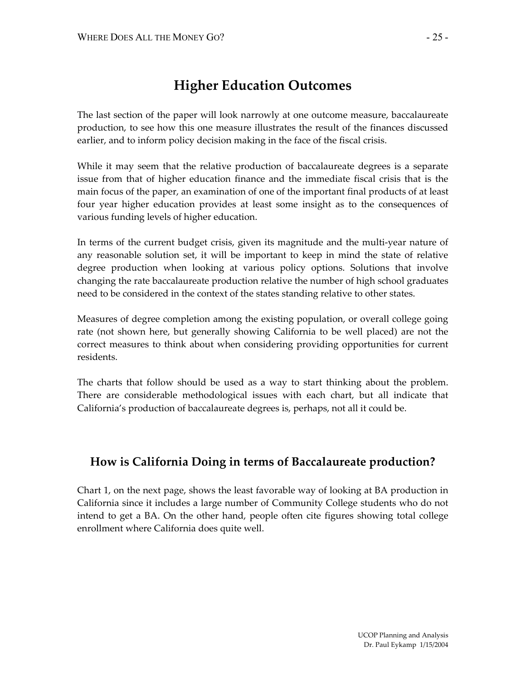# **Higher Education Outcomes**

The last section of the paper will look narrowly at one outcome measure, baccalaureate production, to see how this one measure illustrates the result of the finances discussed earlier, and to inform policy decision making in the face of the fiscal crisis.

While it may seem that the relative production of baccalaureate degrees is a separate issue from that of higher education finance and the immediate fiscal crisis that is the main focus of the paper, an examination of one of the important final products of at least four year higher education provides at least some insight as to the consequences of various funding levels of higher education.

In terms of the current budget crisis, given its magnitude and the multi-year nature of any reasonable solution set, it will be important to keep in mind the state of relative degree production when looking at various policy options. Solutions that involve changing the rate baccalaureate production relative the number of high school graduates need to be considered in the context of the states standing relative to other states.

Measures of degree completion among the existing population, or overall college going rate (not shown here, but generally showing California to be well placed) are not the correct measures to think about when considering providing opportunities for current residents.

The charts that follow should be used as a way to start thinking about the problem. There are considerable methodological issues with each chart, but all indicate that California's production of baccalaureate degrees is, perhaps, not all it could be.

## **How is California Doing in terms of Baccalaureate production?**

Chart 1, on the next page, shows the least favorable way of looking at BA production in California since it includes a large number of Community College students who do not intend to get a BA. On the other hand, people often cite figures showing total college enrollment where California does quite well.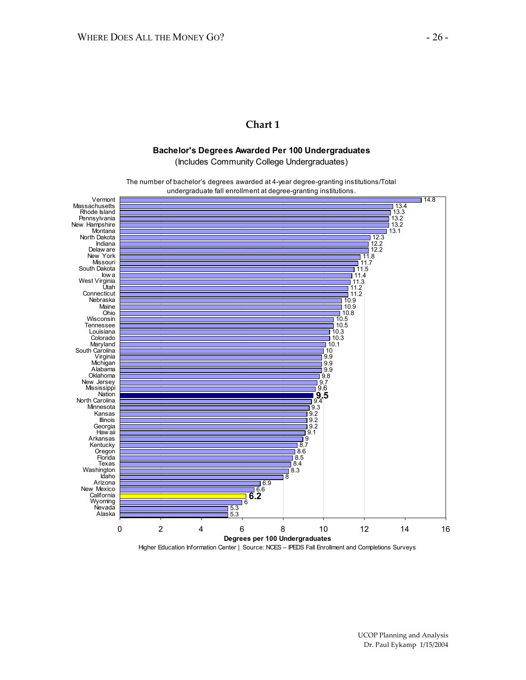### **Chart 1**

#### **Bachelor's Degrees Awarded Per 100 Undergraduates**

(Includes Community College Undergraduates)

The number of bachelor's degrees awarded at 4-year degree-granting institutions/Total undergraduate fall enrollment at degree-granting institutions.



Higher Education Information Center | Source: NCES – IPEDS Fall Enrollment and Completions Surveys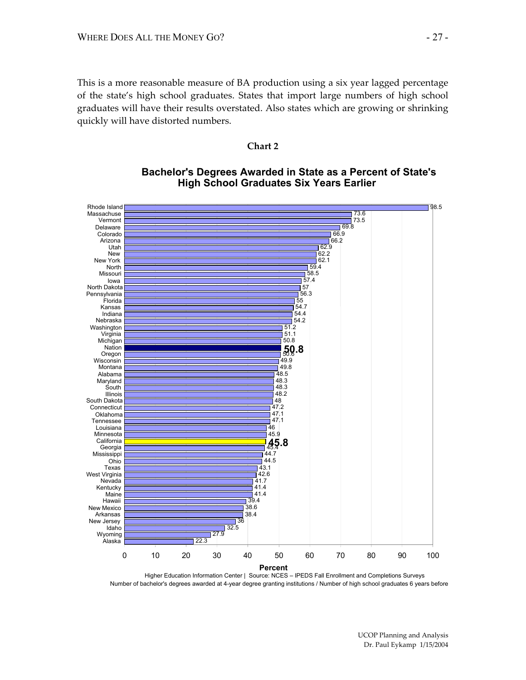This is a more reasonable measure of BA production using a six year lagged percentage of the state's high school graduates. States that import large numbers of high school graduates will have their results overstated. Also states which are growing or shrinking quickly will have distorted numbers.

#### **Chart 2**



### **Bachelor's Degrees Awarded in State as a Percent of State's High School Graduates Six Years Earlier**

Higher Education Information Center | Source: NCES – IPEDS Fall Enrollment and Completions Surveys Number of bachelor's degrees awarded at 4-year degree granting institutions / Number of high school graduates 6 years before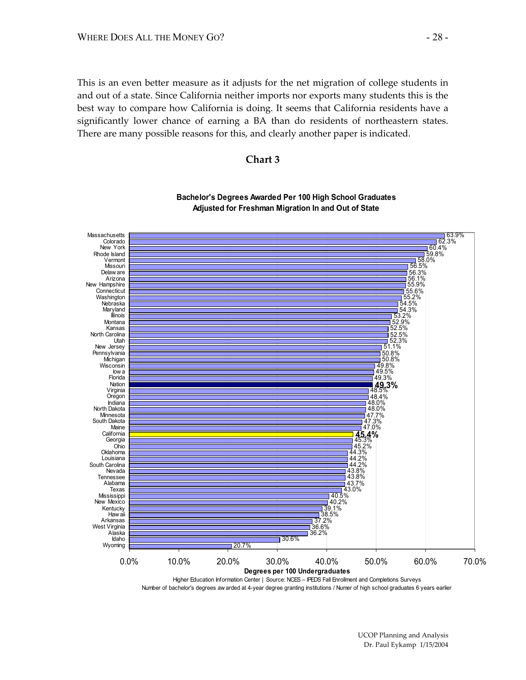This is an even better measure as it adjusts for the net migration of college students in and out of a state. Since California neither imports nor exports many students this is the best way to compare how California is doing. It seems that California residents have a significantly lower chance of earning a BA than do residents of northeastern states. There are many possible reasons for this, and clearly another paper is indicated.





**Bachelor's Degrees Awarded Per 100 High School Graduates Adjusted for Freshman Migration In and Out of State**

Higher Education Information Center | Source: NCES – IPEDS Fall Enrollment and Completions Surveys Number of bachelor's degrees aw arded at 4-year degree granting institutions / Numer of high school graduates 6 years earlier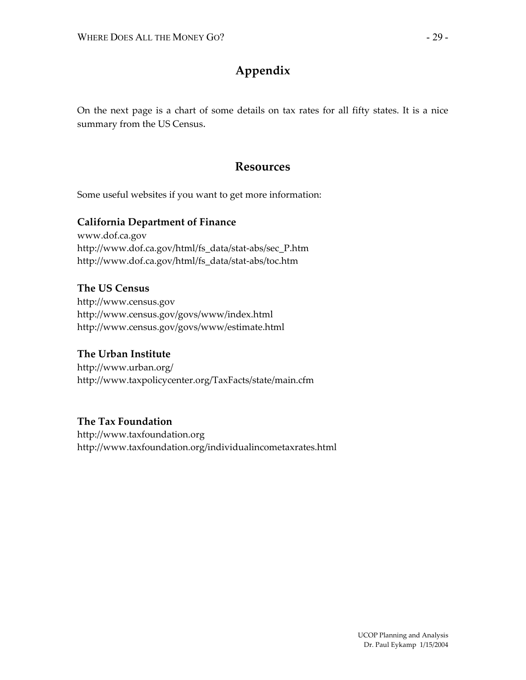## **Appendix**

On the next page is a chart of some details on tax rates for all fifty states. It is a nice summary from the US Census.

## **Resources**

Some useful websites if you want to get more information:

### **California Department of Finance**

www.dof.ca.gov http://www.dof.ca.gov/html/fs\_data/stat-abs/sec\_P.htm http://www.dof.ca.gov/html/fs\_data/stat-abs/toc.htm

**The US Census**  http://www.census.gov http://www.census.gov/govs/www/index.html http://www.census.gov/govs/www/estimate.html

### **The Urban Institute**

http://www.urban.org/ http://www.taxpolicycenter.org/TaxFacts/state/main.cfm

### **The Tax Foundation**

http://www.taxfoundation.org http://www.taxfoundation.org/individualincometaxrates.html